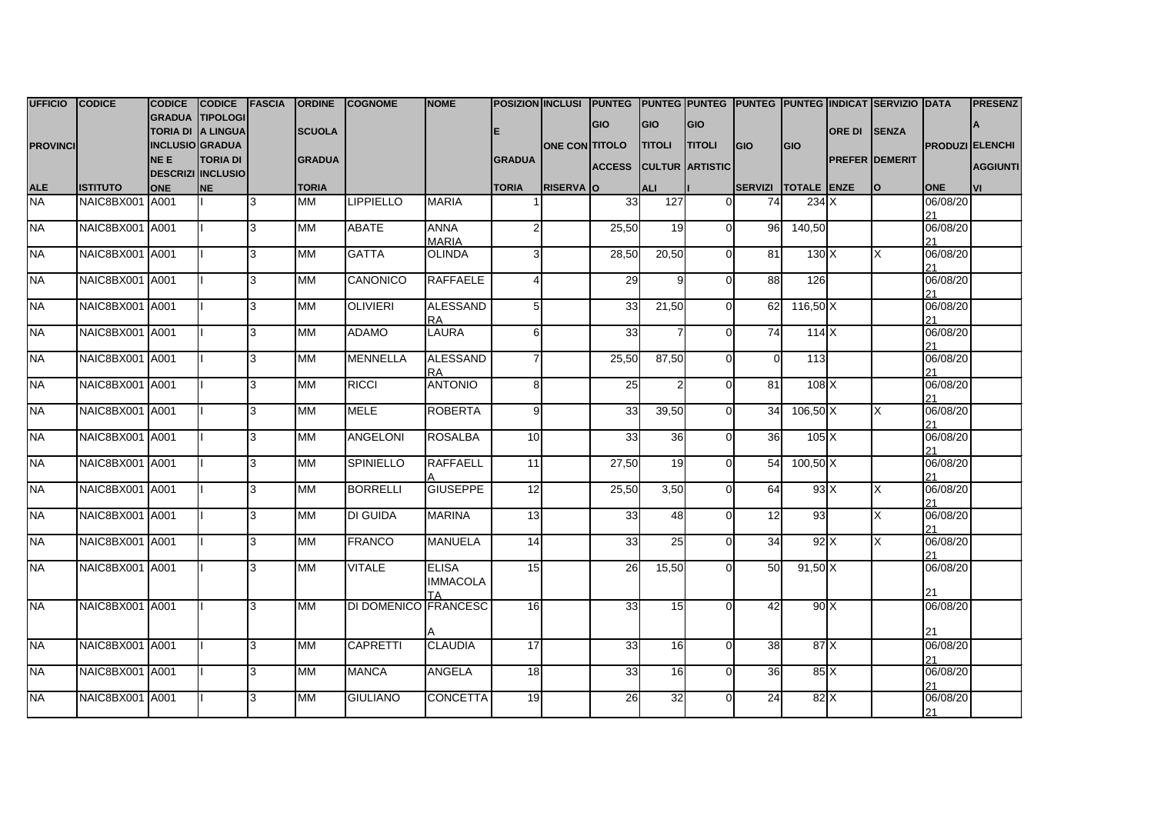| UFFICIO CODICE  |                 | <b>CODICE</b>   | CODICE FASCIA            |     | <b>ORDINE</b> | <b>COGNOME</b>       | <b>NOME</b>     |                 |                      |               |                 |                        |                     |              |                      | POSIZION INCLUSI PUNTEG PUNTEG PUNTEG PUNTEG PUNTEG INDICAT SERVIZIO DATA |                        | <b>PRESENZ</b>  |
|-----------------|-----------------|-----------------|--------------------------|-----|---------------|----------------------|-----------------|-----------------|----------------------|---------------|-----------------|------------------------|---------------------|--------------|----------------------|---------------------------------------------------------------------------|------------------------|-----------------|
|                 |                 |                 | GRADUA TIPOLOGI          |     |               |                      |                 |                 |                      | <b>GIO</b>    | <b>GIO</b>      | GIO                    |                     |              |                      |                                                                           |                        |                 |
|                 |                 |                 | TORIA DI A LINGUA        |     | <b>SCUOLA</b> |                      |                 |                 |                      |               |                 |                        |                     |              | <b>ORE DI ISENZA</b> |                                                                           |                        |                 |
| <b>PROVINCI</b> |                 | INCLUSIO GRADUA |                          |     |               |                      |                 |                 | <b>ONE CONTITOLO</b> |               | <b>TITOLI</b>   | <b>TITOLI</b>          | <b>IGIO</b>         | <b>I</b> GIO |                      |                                                                           | <b>PRODUZI ELENCHI</b> |                 |
|                 |                 | NE E            | <b>TORIA DI</b>          |     | <b>GRADUA</b> |                      |                 | <b>GRADUA</b>   |                      | <b>ACCESS</b> |                 | <b>CULTUR ARTISTIC</b> |                     |              |                      | <b>PREFER DEMERIT</b>                                                     |                        | <b>AGGIUNTI</b> |
|                 |                 |                 | <b>DESCRIZI INCLUSIO</b> |     |               |                      |                 |                 |                      |               |                 |                        |                     |              |                      |                                                                           |                        |                 |
| <b>ALE</b>      | <b>ISTITUTO</b> | <b>ONE</b>      | <b>NE</b>                |     | <b>TORIA</b>  |                      |                 | <b>TORIA</b>    | <b>RISERVA O</b>     |               | <b>ALI</b>      |                        | SERVIZI TOTALE ENZE |              |                      | <b>lo</b>                                                                 | <b>ONE</b>             | lvı             |
| <b>NA</b>       | NAIC8BX001 A001 |                 |                          | 3   | МM            | <b>LIPPIELLO</b>     | <b>MARIA</b>    |                 |                      | 33            | 127             | $\Omega$               | 74                  | 234X         |                      |                                                                           | 06/08/20               |                 |
|                 |                 |                 |                          |     |               |                      |                 |                 |                      |               |                 |                        |                     |              |                      |                                                                           | 21                     |                 |
| <b>NA</b>       | NAIC8BX001 A001 |                 |                          | 3   | MМ            | <b>ABATE</b>         | ANNA            | $\overline{2}$  |                      | 25,50         | 19              | $\overline{0}$         | 96                  | 140,50       |                      |                                                                           | 06/08/20               |                 |
|                 |                 |                 |                          |     |               |                      | <b>MARIA</b>    |                 |                      |               |                 |                        |                     |              |                      |                                                                           | 21                     |                 |
| <b>NA</b>       | NAIC8BX001 A001 |                 |                          | 3   | МM            | <b>GATTA</b>         | <b>OLINDA</b>   | 3               |                      | 28,50         | 20,50           | $\Omega$               | 81                  | 130 X        |                      | X                                                                         | 06/08/20               |                 |
|                 |                 |                 |                          |     |               |                      |                 |                 |                      |               |                 |                        |                     |              |                      |                                                                           | 21                     |                 |
| <b>NA</b>       | NAIC8BX001 A001 |                 |                          | 3   | MМ            | <b>CANONICO</b>      | <b>RAFFAELE</b> | $\overline{4}$  |                      | 29            |                 | $\Omega$               | 88                  | 126          |                      |                                                                           | 06/08/20<br>21         |                 |
| <b>NA</b>       | NAIC8BX001 A001 |                 |                          | 3   | MМ            | <b>OLIVIERI</b>      | <b>ALESSAND</b> | $5\overline{)}$ |                      | 33            | 21,50           | $\Omega$               | 62                  | 116,50 X     |                      |                                                                           | 06/08/20               |                 |
|                 |                 |                 |                          |     |               |                      | <b>RA</b>       |                 |                      |               |                 |                        |                     |              |                      |                                                                           | 21                     |                 |
| <b>NA</b>       | NAIC8BX001 A001 |                 |                          | 3   | МM            | <b>ADAMO</b>         | <b>LAURA</b>    | 6               |                      | 33            |                 | $\Omega$               | 74                  | 114X         |                      |                                                                           | 06/08/20               |                 |
|                 |                 |                 |                          |     |               |                      |                 |                 |                      |               |                 |                        |                     |              |                      |                                                                           | 21                     |                 |
| <b>NA</b>       | NAIC8BX001 A001 |                 |                          | 3   | <b>MM</b>     | <b>MENNELLA</b>      | <b>ALESSAND</b> | $\overline{7}$  |                      | 25,50         | 87,50           | $\Omega$               | $\mathsf{O}$        | 113          |                      |                                                                           | 06/08/20               |                 |
|                 |                 |                 |                          |     |               |                      | RA.             |                 |                      |               |                 |                        |                     |              |                      |                                                                           | 21                     |                 |
| <b>NA</b>       | NAIC8BX001 A001 |                 |                          | 3   | МM            | <b>RICCI</b>         | <b>ANTONIO</b>  | 8               |                      | 25            |                 | $\Omega$               | $\overline{81}$     | 108X         |                      |                                                                           | 06/08/20               |                 |
|                 |                 |                 |                          |     |               |                      |                 |                 |                      |               |                 |                        |                     |              |                      |                                                                           | 21                     |                 |
| <b>NA</b>       | NAIC8BX001 A001 |                 |                          | 3   | МM            | <b>MELE</b>          | <b>ROBERTA</b>  | 9               |                      | 33            | 39,50           | $\Omega$               | 34                  | $106,50$ X   |                      | X                                                                         | 06/08/20               |                 |
|                 |                 |                 |                          |     |               |                      |                 |                 |                      |               |                 |                        |                     |              |                      |                                                                           | 21                     |                 |
| <b>NA</b>       | NAIC8BX001 A001 |                 |                          | 3   | <b>MM</b>     | <b>ANGELONI</b>      | <b>ROSALBA</b>  | 10              |                      | 33            | 36              | $\overline{0}$         | 36                  | 105X         |                      |                                                                           | 06/08/20               |                 |
|                 |                 |                 |                          |     |               |                      |                 |                 |                      |               |                 |                        |                     |              |                      |                                                                           | 21                     |                 |
| <b>NA</b>       | NAIC8BX001 A001 |                 |                          | 3   | МM            | <b>SPINIELLO</b>     | <b>RAFFAELL</b> | 11              |                      | 27,50         | 19              | $\Omega$               | 54                  | 100,50 X     |                      |                                                                           | 06/08/20               |                 |
|                 |                 |                 |                          |     |               |                      |                 |                 |                      |               |                 |                        |                     |              |                      |                                                                           | 21                     |                 |
| <b>NA</b>       | NAIC8BX001 A001 |                 |                          | 3   | МM            | <b>BORRELLI</b>      | <b>GIUSEPPE</b> | 12              |                      | 25,50         | 3,50            | $\Omega$               | 64                  | 93X          |                      | X                                                                         | 06/08/20               |                 |
|                 |                 |                 |                          |     |               |                      |                 |                 |                      |               |                 |                        |                     |              |                      |                                                                           | 21                     |                 |
| <b>NA</b>       | NAIC8BX001 A001 |                 |                          | 3   | MM            | <b>DI GUIDA</b>      | <b>MARINA</b>   | 13              |                      | 33            | 48              | $\Omega$               | 12                  | 93           |                      | X                                                                         | 06/08/20               |                 |
| <b>NA</b>       | NAIC8BX001 A001 |                 |                          | 3   | МM            | <b>FRANCO</b>        | <b>MANUELA</b>  | 14              |                      | 33            | 25              | $\Omega$               | 34                  | 92X          |                      | X                                                                         | 21<br>06/08/20         |                 |
|                 |                 |                 |                          |     |               |                      |                 |                 |                      |               |                 |                        |                     |              |                      |                                                                           | 21                     |                 |
| <b>NA</b>       | NAIC8BX001 A001 |                 |                          | 3   | МM            | <b>VITALE</b>        | <b>ELISA</b>    | 15              |                      | 26            | 15,50           | $\Omega$               | 50                  | 91,50 X      |                      |                                                                           | 06/08/20               |                 |
|                 |                 |                 |                          |     |               |                      | <b>IMMACOLA</b> |                 |                      |               |                 |                        |                     |              |                      |                                                                           |                        |                 |
|                 |                 |                 |                          |     |               |                      | TA              |                 |                      |               |                 |                        |                     |              |                      |                                                                           | 21                     |                 |
| <b>NA</b>       | NAIC8BX001 A001 |                 |                          | 3   | <b>MM</b>     | DI DOMENICO FRANCESC |                 | 16              |                      | 33            | 15              | $\Omega$               | 42                  | 90X          |                      |                                                                           | 06/08/20               |                 |
|                 |                 |                 |                          |     |               |                      |                 |                 |                      |               |                 |                        |                     |              |                      |                                                                           |                        |                 |
|                 |                 |                 |                          |     |               |                      |                 |                 |                      |               |                 |                        |                     |              |                      |                                                                           | 21                     |                 |
| <b>NA</b>       | NAIC8BX001 A001 |                 |                          | l3. | <b>MM</b>     | <b>CAPRETTI</b>      | <b>CLAUDIA</b>  | 17              |                      | 33            | 16 <sup>l</sup> | $\Omega$               | 38                  | 87 X         |                      |                                                                           | 06/08/20               |                 |
|                 |                 |                 |                          |     |               |                      |                 |                 |                      |               |                 |                        |                     |              |                      |                                                                           | 21                     |                 |
| <b>NA</b>       | NAIC8BX001 A001 |                 |                          | 3   | MМ            | <b>MANCA</b>         | <b>ANGELA</b>   | 18              |                      | 33            | 16              | $\Omega$               | 36                  | 85 X         |                      |                                                                           | 06/08/20               |                 |
|                 |                 |                 |                          |     |               |                      |                 |                 |                      |               |                 |                        |                     |              |                      |                                                                           | 21                     |                 |
| <b>NA</b>       | NAIC8BX001 A001 |                 |                          | 3   | <b>MM</b>     | <b>GIULIANO</b>      | <b>CONCETTA</b> | 19              |                      | 26            | 32              | $\Omega$               | $\overline{24}$     | 82 X         |                      |                                                                           | 06/08/20               |                 |
|                 |                 |                 |                          |     |               |                      |                 |                 |                      |               |                 |                        |                     |              |                      |                                                                           | 21                     |                 |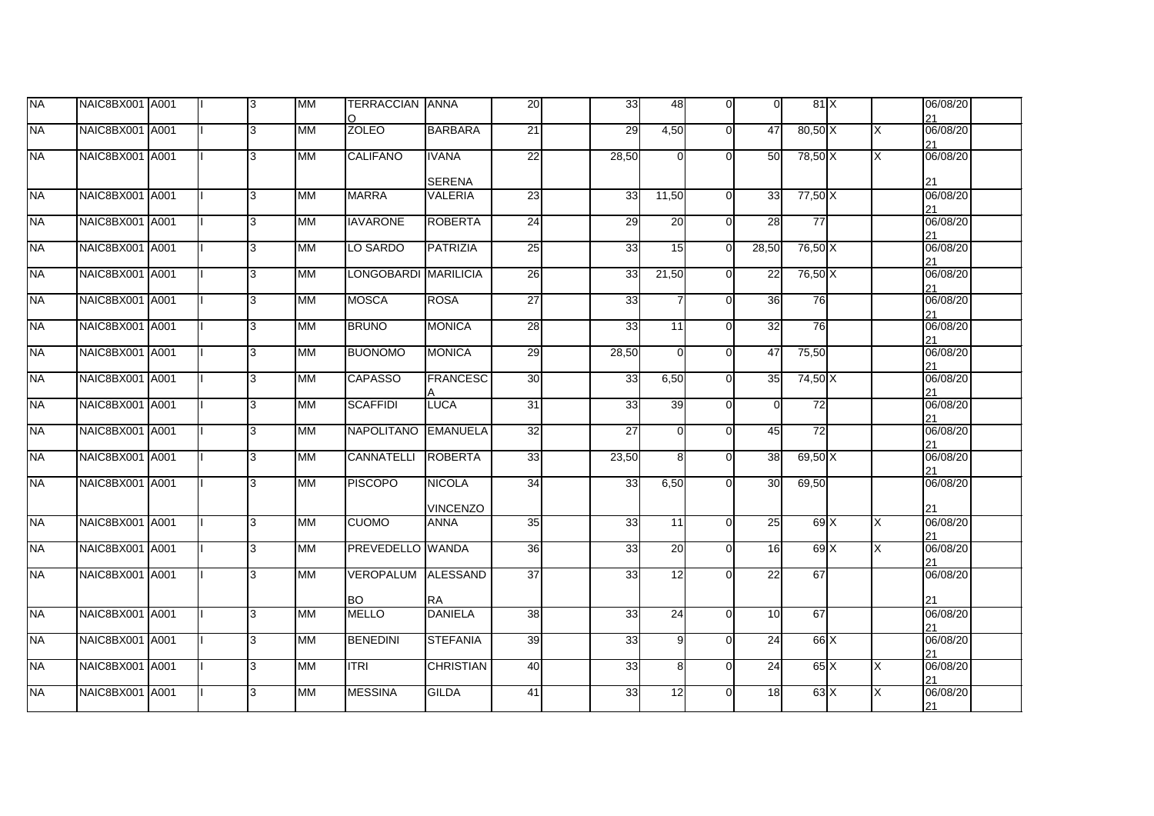| <b>NA</b> | NAIC8BX001 A001 |  | 13  | <b>MM</b>  | <b>TERRACCIAN ANNA</b><br>O |                                | 20              | 33    | 48             | $\Omega$ | $\overline{0}$  | 81X         |   | 06/08/20<br>21 |  |
|-----------|-----------------|--|-----|------------|-----------------------------|--------------------------------|-----------------|-------|----------------|----------|-----------------|-------------|---|----------------|--|
| <b>NA</b> | NAIC8BX001 A001 |  | l3  | <b>IMM</b> | <b>ZOLEO</b>                | <b>BARBARA</b>                 | $\overline{21}$ | 29    | 4,50           | $\Omega$ | 47              | 80,50 X     | X | 06/08/20<br>21 |  |
| <b>NA</b> | NAIC8BX001 A001 |  | 3   | MМ         | <b>CALIFANO</b>             | <b>IVANA</b>                   | 22              | 28,50 | $\overline{0}$ | $\Omega$ | 50              | 78,50 X     | X | 06/08/20       |  |
|           |                 |  |     |            |                             | <b>SERENA</b>                  |                 |       |                |          |                 |             |   | 21             |  |
| <b>NA</b> | NAIC8BX001 A001 |  | l3. | <b>MM</b>  | <b>MARRA</b>                | VALERIA                        | 23              | 33    | 11,50          | $\Omega$ | 33              | 77,50 X     |   | 06/08/20<br>21 |  |
| <b>NA</b> | NAIC8BX001 A001 |  | 3   | ΜМ         | <b>IAVARONE</b>             | <b>ROBERTA</b>                 | 24              | 29    | 20             | $\Omega$ | 28              | 77          |   | 06/08/20<br>21 |  |
| <b>NA</b> | NAIC8BX001 A001 |  | 3   | <b>MM</b>  | LO SARDO                    | <b>PATRIZIA</b>                | 25              | 33    | 15             | $\Omega$ | 28,50           | 76,50 X     |   | 06/08/20<br>21 |  |
| <b>NA</b> | NAIC8BX001 A001 |  | l3  | <b>MM</b>  | LONGOBARDI MARILICIA        |                                | 26              | 33    | 21,50          | $\Omega$ | $\overline{22}$ | 76,50 X     |   | 06/08/20<br>21 |  |
| <b>NA</b> | NAIC8BX001 A001 |  | 3   | MМ         | <b>MOSCA</b>                | <b>ROSA</b>                    | 27              | 33    |                | $\Omega$ | 36              | 76          |   | 06/08/20<br>21 |  |
| <b>NA</b> | NAIC8BX001 A001 |  | l3  | <b>MM</b>  | <b>BRUNO</b>                | <b>MONICA</b>                  | 28              | 33    | 11             | $\Omega$ | 32              | 76          |   | 06/08/20<br>21 |  |
| <b>NA</b> | NAIC8BX001 A001 |  | 3   | <b>MM</b>  | <b>BUONOMO</b>              | <b>MONICA</b>                  | 29              | 28,50 | $\overline{0}$ | $\Omega$ | 47              | 75,50       |   | 06/08/20<br>21 |  |
| <b>NA</b> | NAIC8BX001 A001 |  | 3   | <b>MM</b>  | <b>CAPASSO</b>              | <b>FRANCESC</b>                | 30              | 33    | 6,50           | $\Omega$ | 35              | 74,50 X     |   | 06/08/20<br>21 |  |
| <b>NA</b> | NAIC8BX001 A001 |  | 3   | <b>MM</b>  | <b>SCAFFIDI</b>             | <b>LUCA</b>                    | $\overline{31}$ | 33    | 39             | $\Omega$ | $\overline{0}$  | 72          |   | 06/08/20<br>21 |  |
| <b>NA</b> | NAIC8BX001 A001 |  | l3  | <b>MM</b>  | NAPOLITANO EMANUELA         |                                | 32              | 27    | $\overline{0}$ | $\Omega$ | 45              | 72          |   | 06/08/20<br>21 |  |
| <b>NA</b> | NAIC8BX001 A001 |  | 3   | <b>MM</b>  | <b>CANNATELLI</b>           | <b>ROBERTA</b>                 | 33              | 23,50 | 8              | $\Omega$ | 38              | 69,50 X     |   | 06/08/20<br>21 |  |
| <b>NA</b> | NAIC8BX001 A001 |  | l3  | <b>MM</b>  | <b>PISCOPO</b>              | <b>NICOLA</b>                  | 34              | 33    | 6,50           | $\Omega$ | 30              | 69,50       |   | 06/08/20       |  |
| <b>NA</b> | NAIC8BX001 A001 |  | 3   | <b>MM</b>  | <b>CUOMO</b>                | <b>VINCENZO</b><br><b>ANNA</b> | 35              | 33    | 11             | $\Omega$ | 25              | $69$ X      | X | 21<br>06/08/20 |  |
| <b>NA</b> | NAIC8BX001 A001 |  | l3  | <b>MM</b>  | PREVEDELLO WANDA            |                                | 36              | 33    | 20             | $\Omega$ | 16              | 69 X        | X | 21<br>06/08/20 |  |
| <b>NA</b> | NAIC8BX001 A001 |  | l3  | MМ         | VEROPALUM ALESSAND          |                                | 37              | 33    | 12             | $\Omega$ | 22              | 67          |   | 21<br>06/08/20 |  |
|           |                 |  |     |            | <b>BO</b>                   | RA                             |                 |       |                |          |                 |             |   | 21             |  |
| <b>NA</b> | NAIC8BX001 A001 |  | l3  | <b>IMM</b> | <b>MELLO</b>                | <b>DANIELA</b>                 | 38              | 33    | 24             | $\Omega$ | 10              | 67          |   | 06/08/20<br>21 |  |
| <b>NA</b> | NAIC8BX001 A001 |  | l3  | MМ         | <b>BENEDINI</b>             | <b>STEFANIA</b>                | 39              | 33    | 9              | $\Omega$ | 24              | 66 X        |   | 06/08/20<br>21 |  |
| <b>NA</b> | NAIC8BX001 A001 |  | 3   | <b>MM</b>  | <b>ITRI</b>                 | <b>CHRISTIAN</b>               | 40              | 33    | 8              | $\Omega$ | 24              | $65 \times$ | Χ | 06/08/20<br>21 |  |
| <b>NA</b> | NAIC8BX001 A001 |  | 3   | <b>MM</b>  | <b>MESSINA</b>              | <b>GILDA</b>                   | 41              | 33    | 12             | $\Omega$ | 18              | $63 \times$ | X | 06/08/20<br>21 |  |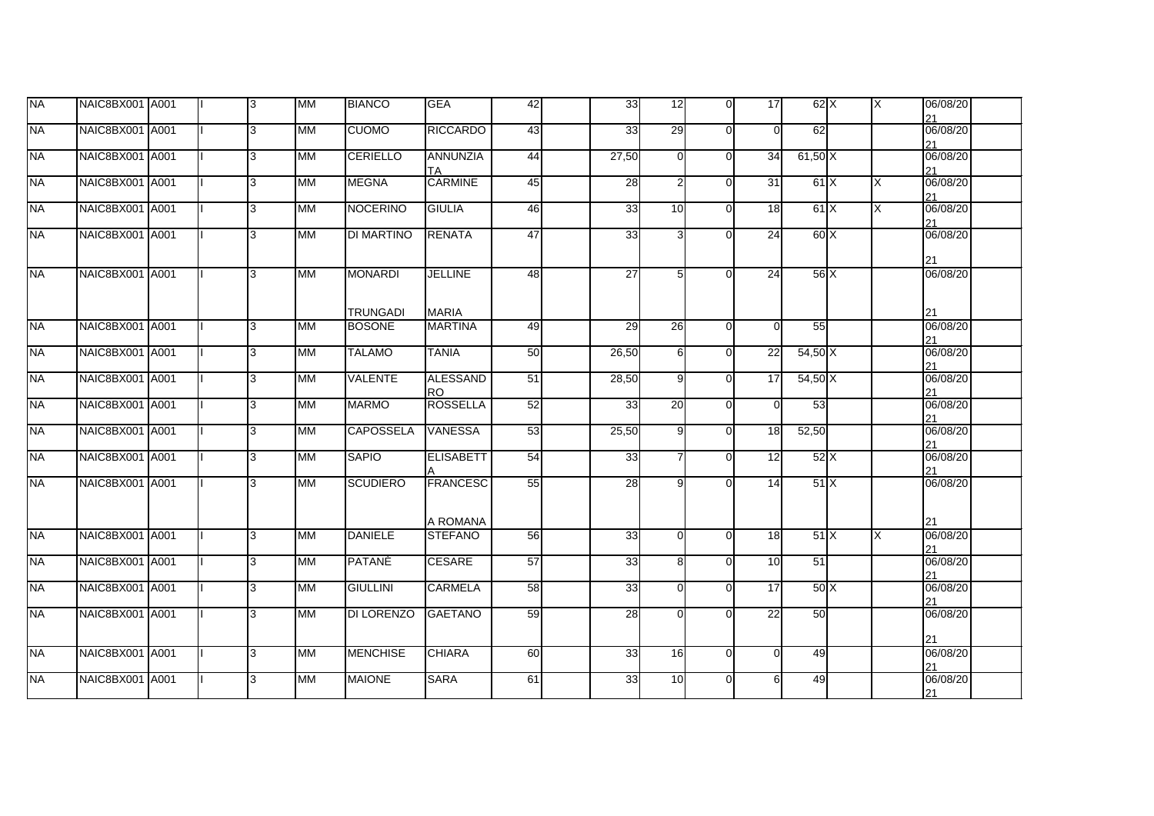| <b>NA</b> | NAIC8BX001 A001 |  | 13  | <b>MM</b>   | <b>BIANCO</b>     | <b>GEA</b>            | 42 | 33                 | 12              | $\overline{0}$ | 17              | $62\overline{\times}$ | ΙX | 06/08/20<br>21 |  |
|-----------|-----------------|--|-----|-------------|-------------------|-----------------------|----|--------------------|-----------------|----------------|-----------------|-----------------------|----|----------------|--|
| <b>NA</b> | NAIC8BX001 A001 |  | l3  | <b>MM</b>   | <b>CUOMO</b>      | <b>RICCARDO</b>       | 43 | 33                 | 29              | $\Omega$       | $\Omega$        | 62                    |    | 06/08/20<br>21 |  |
| <b>NA</b> | NAIC8BX001 A001 |  | 3   | MM          | <b>CERIELLO</b>   | <b>ANNUNZIA</b><br>ТA | 44 | 27,50              | $\overline{0}$  | $\Omega$       | 34              | $61,50$ X             |    | 06/08/20<br>21 |  |
| <b>NA</b> | NAIC8BX001 A001 |  | l3. | <b>MM</b>   | <b>MEGNA</b>      | <b>CARMINE</b>        | 45 | $\overline{28}$    | $\overline{2}$  | $\Omega$       | 31              | 61X                   | X  | 06/08/20<br>21 |  |
| <b>NA</b> | NAIC8BX001 A001 |  | l3  | <b>MM</b>   | <b>NOCERINO</b>   | <b>GIULIA</b>         | 46 | 33                 | 10              | $\Omega$       | 18              | 61X                   | X  | 06/08/20<br>21 |  |
| <b>NA</b> | NAIC8BX001 A001 |  | l3  | <b>MM</b>   | <b>DI MARTINO</b> | <b>RENATA</b>         | 47 | 33                 | 3               | $\Omega$       | 24              | 60 X                  |    | 06/08/20<br>21 |  |
| <b>NA</b> | NAIC8BX001 A001 |  | l3  | <b>MM</b>   | <b>MONARDI</b>    | <b>JELLINE</b>        | 48 | 27                 | 5               | $\Omega$       | 24              | 56 X                  |    | 06/08/20       |  |
|           |                 |  |     |             | <b>TRUNGADI</b>   | <b>MARIA</b>          |    |                    |                 |                |                 |                       |    | 21             |  |
| <b>NA</b> | NAIC8BX001 A001 |  | l3. | <b>IMM</b>  | <b>BOSONE</b>     | <b>MARTINA</b>        | 49 | 29                 | 26              | $\Omega$       | $\Omega$        | 55                    |    | 06/08/20<br>21 |  |
| <b>NA</b> | NAIC8BX001 A001 |  | 3   | <b>MM</b>   | <b>TALAMO</b>     | <b>TANIA</b>          | 50 | 26,50              | 6               | $\Omega$       | 22              | 54,50X                |    | 06/08/20<br>21 |  |
| <b>NA</b> | NAIC8BX001 A001 |  | 3   | <b>MM</b>   | <b>VALENTE</b>    | ALESSAND<br><b>RO</b> | 51 | $\overline{28,50}$ | 9               | $\Omega$       | 17              | 54,50 X               |    | 06/08/20<br>21 |  |
| <b>NA</b> | NAIC8BX001 A001 |  | 3   | МM          | <b>MARMO</b>      | <b>ROSSELLA</b>       | 52 | 33                 | $\overline{20}$ | $\Omega$       | $\Omega$        | 53                    |    | 06/08/20<br>21 |  |
| <b>NA</b> | NAIC8BX001 A001 |  | 3   | <b>MM</b>   | <b>CAPOSSELA</b>  | <b>VANESSA</b>        | 53 | 25,50              | 9               | $\Omega$       | 18              | 52,50                 |    | 06/08/20<br>21 |  |
| <b>NA</b> | NAIC8BX001 A001 |  | l3. | <b>I</b> MM | <b>SAPIO</b>      | <b>ELISABETT</b>      | 54 | 33                 |                 | $\Omega$       | 12              | 52X                   |    | 06/08/20<br>21 |  |
| <b>NA</b> | NAIC8BX001 A001 |  | l3. | <b>MM</b>   | <b>SCUDIERO</b>   | <b>FRANCESC</b>       | 55 | 28                 | 9               | $\Omega$       | 14              | 51X                   |    | 06/08/20       |  |
|           |                 |  |     |             |                   | A ROMANA              |    |                    |                 |                |                 |                       |    | 21             |  |
| <b>NA</b> | NAIC8BX001 A001 |  | l3  | <b>IMM</b>  | <b>DANIELE</b>    | <b>STEFANO</b>        | 56 | 33                 | $\Omega$        | $\Omega$       | 18              | 51X                   | X  | 06/08/20<br>21 |  |
| <b>NA</b> | NAIC8BX001 A001 |  | 3   | <b>MM</b>   | PATANÈ            | <b>CESARE</b>         | 57 | 33                 | 8               | $\Omega$       | 10 <sup>1</sup> | 51                    |    | 06/08/20<br>21 |  |
| <b>NA</b> | NAIC8BX001 A001 |  | l3  | <b>IMM</b>  | <b>GIULLINI</b>   | <b>CARMELA</b>        | 58 | 33                 | $\Omega$        | $\Omega$       | 17              | 50X                   |    | 06/08/20<br>21 |  |
| <b>NA</b> | NAIC8BX001 A001 |  | 3   | <b>IMM</b>  | <b>DI LORENZO</b> | <b>GAETANO</b>        | 59 | 28                 | $\Omega$        | $\Omega$       | 22              | 50                    |    | 06/08/20<br>21 |  |
| <b>NA</b> | NAIC8BX001 A001 |  | l3. | <b>MM</b>   | <b>MENCHISE</b>   | <b>CHIARA</b>         | 60 | 33                 | 16              | $\Omega$       | $\Omega$        | 49                    |    | 06/08/20<br>21 |  |
| <b>NA</b> | NAIC8BX001 A001 |  | 3   | <b>IMM</b>  | <b>MAIONE</b>     | <b>SARA</b>           | 61 | 33                 | 10 <sup>1</sup> | $\Omega$       | $6 \mid$        | 49                    |    | 06/08/20<br>21 |  |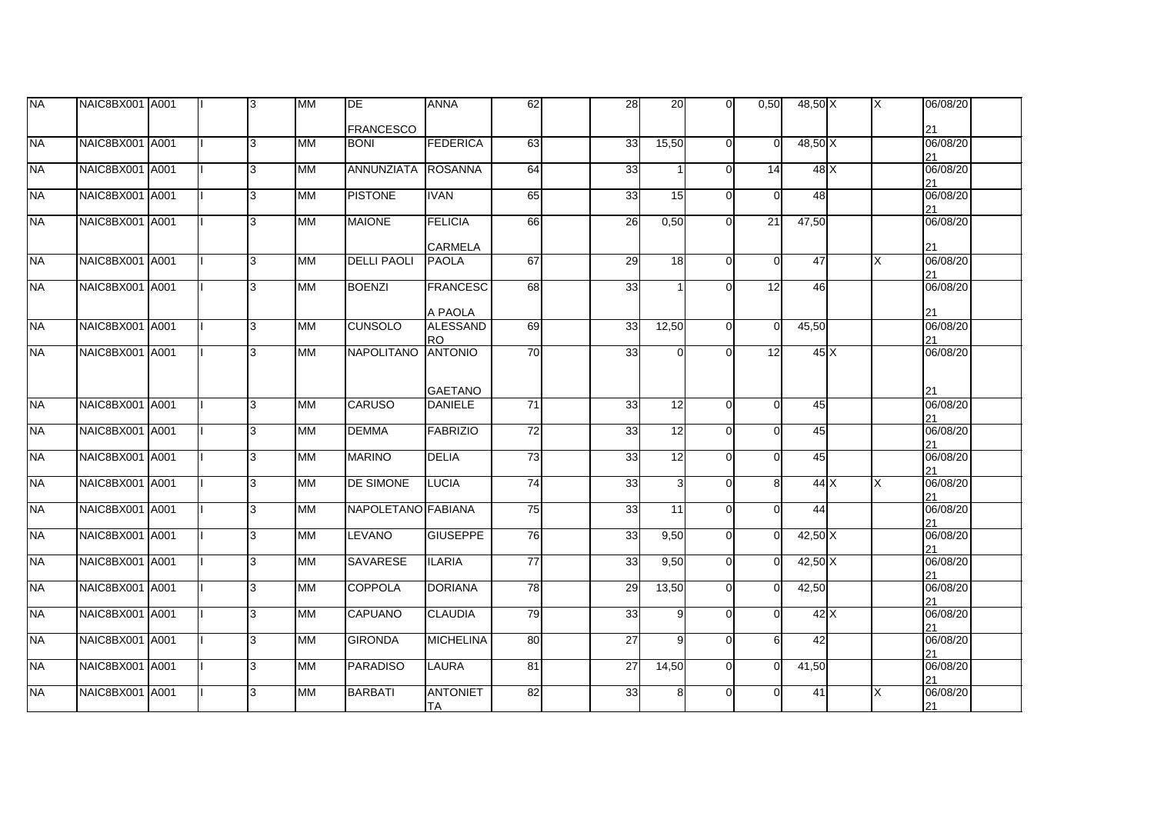| <b>NA</b> | NAIC8BX001 A001 |  | l3  | <b>MM</b>  | DE                 | <b>ANNA</b>                                  | 62              | 28              | 20              | $\overline{0}$ | 0,50           | 48,50 X        | IX. | 06/08/20             |  |
|-----------|-----------------|--|-----|------------|--------------------|----------------------------------------------|-----------------|-----------------|-----------------|----------------|----------------|----------------|-----|----------------------|--|
|           |                 |  |     |            | <b>FRANCESCO</b>   |                                              |                 |                 |                 |                |                |                |     | 21                   |  |
| <b>NA</b> | NAIC8BX001 A001 |  | l3. | <b>IMM</b> | <b>BONI</b>        | <b>FEDERICA</b>                              | 63              | 33              | 15,50           | $\overline{0}$ | $\overline{0}$ | 48,50 X        |     | 06/08/20<br>21       |  |
| <b>NA</b> | NAIC8BX001 A001 |  | l3  | <b>MM</b>  | ANNUNZIATA ROSANNA |                                              | 64              | 33              |                 | $\overline{0}$ | 14             | 48 X           |     | 06/08/20<br>21       |  |
| <b>NA</b> | NAIC8BX001 A001 |  | 13  | <b>MM</b>  | <b>PISTONE</b>     | <b>IVAN</b>                                  | 65              | 33              | 15              | $\Omega$       | $\overline{0}$ | 48             |     | 06/08/20<br>21       |  |
| <b>NA</b> | NAIC8BX001 A001 |  | 3   | MM         | <b>MAIONE</b>      | <b>FELICIA</b><br><b>CARMELA</b>             | 66              | $\overline{26}$ | 0,50            | $\Omega$       | 21             | 47,50          |     | 06/08/20             |  |
| <b>NA</b> | NAIC8BX001 A001 |  | l3  | <b>IMM</b> | <b>DELLI PAOLI</b> | <b>PAOLA</b>                                 | 67              | 29              | 18 <sup>l</sup> | $\Omega$       | $\overline{0}$ | 47             | X   | 21<br>06/08/20<br>21 |  |
| <b>NA</b> | NAIC8BX001 A001 |  | 3   | MM         | <b>BOENZI</b>      | <b>FRANCESC</b>                              | 68              | 33              |                 | $\Omega$       | 12             | 46             |     | 06/08/20             |  |
| <b>NA</b> | NAIC8BX001 A001 |  | l3  | <b>IMM</b> | <b>CUNSOLO</b>     | A PAOLA<br><b>ALESSAND</b><br>R <sub>O</sub> | 69              | 33              | 12,50           | $\Omega$       | $\overline{0}$ | 45,50          |     | 21<br>06/08/20<br>21 |  |
| <b>NA</b> | NAIC8BX001 A001 |  | l3  | <b>MM</b>  | NAPOLITANO         | <b>ANTONIO</b>                               | 70              | 33              | $\Omega$        | $\Omega$       | 12             | 45 X           |     | 06/08/20             |  |
|           |                 |  |     |            |                    | <b>GAETANO</b>                               |                 |                 |                 |                |                |                |     | 21                   |  |
| <b>NA</b> | NAIC8BX001 A001 |  | l3  | <b>IMM</b> | <b>CARUSO</b>      | <b>DANIELE</b>                               | $\overline{71}$ | 33              | 12              | $\Omega$       | $\Omega$       | 45             |     | 06/08/20<br>21       |  |
| <b>NA</b> | NAIC8BX001 A001 |  | l3  | <b>IMM</b> | <b>DEMMA</b>       | <b>FABRIZIO</b>                              | 72              | 33              | 12              | $\Omega$       | $\Omega$       | 45             |     | 06/08/20<br>21       |  |
| <b>NA</b> | NAIC8BX001 A001 |  | l3  | <b>MM</b>  | <b>MARINO</b>      | <b>DELIA</b>                                 | 73              | 33              | 12              | $\Omega$       | $\Omega$       | 45             |     | 06/08/20<br>21       |  |
| <b>NA</b> | NAIC8BX001 A001 |  | l3  | <b>IMM</b> | <b>DE SIMONE</b>   | <b>LUCIA</b>                                 | 74              | 33              | $\overline{3}$  | $\Omega$       | 8 <sup>1</sup> | 44X            | X   | 06/08/20<br>21       |  |
| <b>NA</b> | NAIC8BX001 A001 |  | 3   | MM         | NAPOLETANO FABIANA |                                              | 75              | 33              | 11              | $\Omega$       | $\Omega$       | 44             |     | 06/08/20<br>21       |  |
| <b>NA</b> | NAIC8BX001 A001 |  | 3   | <b>MM</b>  | <b>LEVANO</b>      | <b>GIUSEPPE</b>                              | 76              | 33              | 9,50            | $\Omega$       | $\Omega$       | $42,50 \times$ |     | 06/08/20<br>21       |  |
| <b>NA</b> | NAIC8BX001 A001 |  | Iз  | <b>IMM</b> | <b>SAVARESE</b>    | <b>ILARIA</b>                                | $\overline{77}$ | 33              | 9,50            | $\Omega$       | $\Omega$       | 42,50 X        |     | 06/08/20<br>21       |  |
| <b>NA</b> | NAIC8BX001 A001 |  | l3  | <b>IMM</b> | <b>COPPOLA</b>     | <b>DORIANA</b>                               | 78              | 29              | 13,50           | $\Omega$       | $\Omega$       | 42,50          |     | 06/08/20<br>21       |  |
| <b>NA</b> | NAIC8BX001 A001 |  | l3  | <b>MM</b>  | <b>CAPUANO</b>     | <b>CLAUDIA</b>                               | 79              | 33              | 9               | $\Omega$       | $\Omega$       | 42X            |     | 06/08/20<br>21       |  |
| <b>NA</b> | NAIC8BX001 A001 |  | l3. | <b>MM</b>  | <b>GIRONDA</b>     | <b>MICHELINA</b>                             | 80              | $\overline{27}$ | 9               | $\Omega$       | $6 \mid$       | 42             |     | 06/08/20<br>21       |  |
| <b>NA</b> | NAIC8BX001 A001 |  | 3   | MM         | <b>PARADISO</b>    | <b>LAURA</b>                                 | 81              | 27              | 14,50           | $\Omega$       | $\Omega$       | 41,50          |     | 06/08/20<br>21       |  |
| <b>NA</b> | NAIC8BX001 A001 |  | 3   | <b>MM</b>  | <b>BARBATI</b>     | <b>ANTONIET</b><br><b>TA</b>                 | 82              | 33              | 8               | $\Omega$       | $\Omega$       | 41             | X   | 06/08/20<br>21       |  |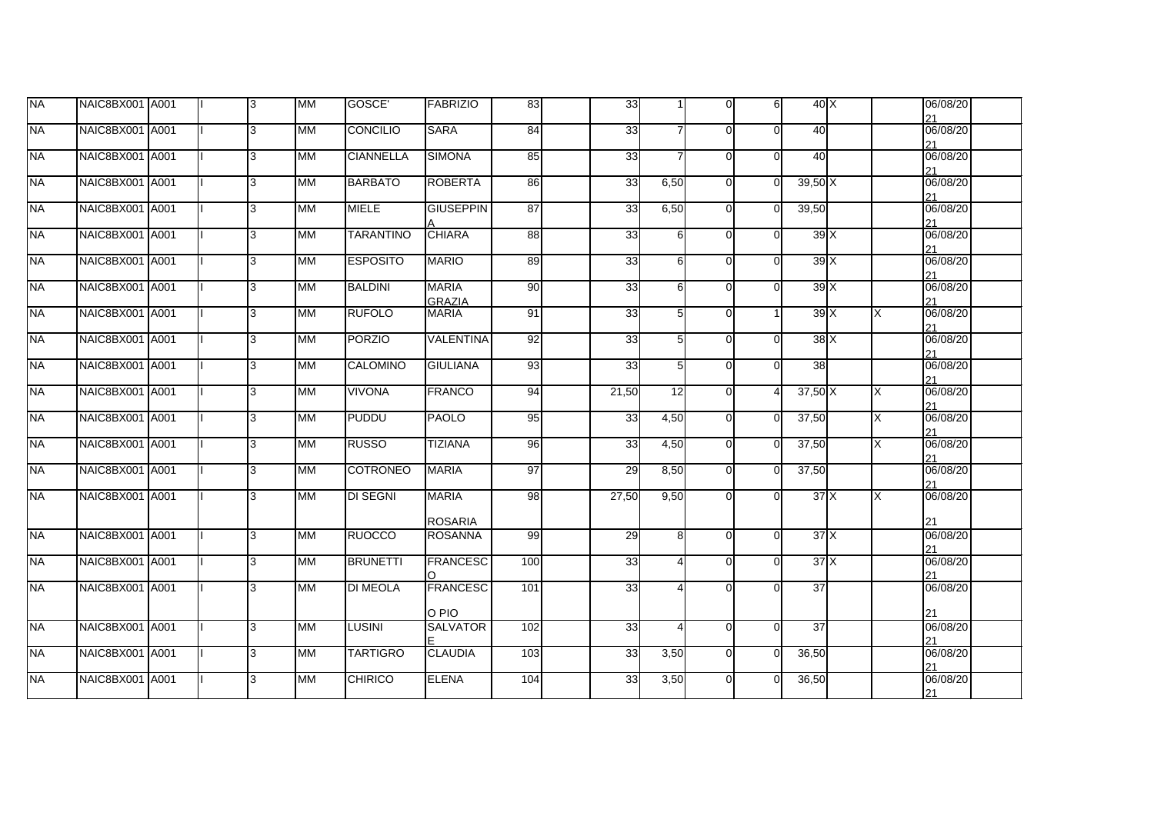| <b>NA</b> | NAIC8BX001 A001 |  | 3 | <b>IMM</b> | GOSCE'           | <b>FABRIZIO</b>                  | 83  | 33              | 1               | $\overline{0}$ | 6          | 40X     |          | 06/08/20             |
|-----------|-----------------|--|---|------------|------------------|----------------------------------|-----|-----------------|-----------------|----------------|------------|---------|----------|----------------------|
| <b>NA</b> | NAIC8BX001 A001 |  | 3 | <b>MM</b>  | <b>CONCILIO</b>  | <b>SARA</b>                      | 84  | 33              | $\overline{7}$  | $\overline{0}$ | $\Omega$   | 40      |          | 21<br>06/08/20       |
| <b>NA</b> | NAIC8BX001 A001 |  | 3 | <b>IMM</b> | <b>CIANNELLA</b> | <b>SIMONA</b>                    | 85  | 33              | $\overline{7}$  | $\overline{0}$ | $\Omega$   | 40      |          | 21<br>06/08/20       |
| <b>NA</b> | NAIC8BX001 A001 |  | 3 | <b>IMM</b> | <b>BARBATO</b>   | <b>ROBERTA</b>                   | 86  | 33              | 6,50            | $\overline{0}$ |            | 39,50X  |          | 21<br>06/08/20       |
| <b>NA</b> | NAIC8BX001 A001 |  | 3 | <b>IMM</b> | <b>MIELE</b>     | <b>GIUSEPPIN</b>                 | 87  | 33              | 6,50            | $\overline{0}$ | 39,50<br>O |         |          | 21<br>06/08/20       |
| <b>NA</b> | NAIC8BX001 A001 |  | 3 | <b>MM</b>  | <b>TARANTINO</b> | <b>CHIARA</b>                    | 88  | 33              | 6               | $\overline{0}$ | O          | 39X     |          | 21<br>06/08/20<br>21 |
| <b>NA</b> | NAIC8BX001 A001 |  | વ | <b>IMM</b> | <b>ESPOSITO</b>  | <b>MARIO</b>                     | 89  | 33              | 6               | $\overline{0}$ | ΩI         | 39X     |          | 06/08/20<br>21       |
| <b>NA</b> | NAIC8BX001 A001 |  | 3 | <b>MM</b>  | <b>BALDINI</b>   | <b>MARIA</b><br><b>GRAZIA</b>    | 90  | 33              | 6               | $\overline{0}$ | $\Omega$   | 39X     |          | 06/08/20<br>21       |
| <b>NA</b> | NAIC8BX001 A001 |  | 3 | <b>MM</b>  | <b>RUFOLO</b>    | <b>MARIA</b>                     | 91  | 33              | $5\overline{)}$ | $\overline{0}$ |            | 39X     | $\times$ | 06/08/20<br>21       |
| <b>NA</b> | NAIC8BX001 A001 |  | 3 | <b>MM</b>  | <b>PORZIO</b>    | <b>VALENTINA</b>                 | 92  | 33              | $5 \vert$       | $\mathbf{0}$   | $\Omega$   | 38X     |          | 06/08/20<br>21       |
| <b>NA</b> | NAIC8BX001 A001 |  | 3 | <b>IMM</b> | CALOMINO         | <b>GIULIANA</b>                  | 93  | 33              | 5 <sub>l</sub>  | $\overline{0}$ | 0          | 38      |          | 06/08/20<br>21       |
| <b>NA</b> | NAIC8BX001 A001 |  | 3 | <b>IMM</b> | <b>VIVONA</b>    | <b>FRANCO</b>                    | 94  | 21,50           | 12              | $\overline{0}$ |            | 37,50 X | X        | 06/08/20<br>21       |
| <b>NA</b> | NAIC8BX001 A001 |  | 3 | <b>MM</b>  | <b>PUDDU</b>     | <b>PAOLO</b>                     | 95  | $\overline{33}$ | 4,50            | $\overline{0}$ | 37,50<br>0 |         | X        | 06/08/20<br>21       |
| <b>NA</b> | NAIC8BX001 A001 |  | 3 | <b>MM</b>  | <b>RUSSO</b>     | <b>TIZIANA</b>                   | 96  | 33              | 4,50            | $\mathsf{O}$   | 37,50      |         | X        | 06/08/20<br>21       |
| NA        | NAIC8BX001 A001 |  | 3 | <b>MM</b>  | <b>COTRONEO</b>  | <b>MARIA</b>                     | 97  | 29              | 8,50            | $\overline{0}$ | 37,50<br>∩ |         |          | 06/08/20<br>21       |
| <b>NA</b> | NAIC8BX001 A001 |  | 3 | <b>MM</b>  | <b>DI SEGNI</b>  | <b>MARIA</b>                     | 98  | 27,50           | 9,50            | $\mathbf{0}$   | $\Omega$   | 37X     | X        | 06/08/20             |
| <b>NA</b> | NAIC8BX001 A001 |  | 3 | <b>IMM</b> | <b>RUOCCO</b>    | <b>ROSARIA</b><br><b>ROSANNA</b> | 99  | 29              | 8 <sup>1</sup>  | $\overline{0}$ | $\Omega$   | 37X     |          | 21<br>06/08/20       |
| <b>NA</b> | NAIC8BX001 A001 |  | 3 | <b>MM</b>  | <b>BRUNETTI</b>  | <b>FRANCESC</b>                  | 100 | 33              | $\overline{4}$  | $\mathbf{0}$   | $\Omega$   | 37X     |          | 21<br>06/08/20       |
| <b>NA</b> | NAIC8BX001 A001 |  | 3 | <b>MM</b>  | <b>DI MEOLA</b>  | <b>FRANCESC</b>                  | 101 | $\overline{33}$ | $\overline{4}$  | $\overline{0}$ | O          | 37      |          | 21<br>06/08/20       |
|           |                 |  |   |            |                  | O PIO                            |     |                 |                 |                |            |         |          | 21                   |
| <b>NA</b> | NAIC8BX001 A001 |  | 3 | <b>MM</b>  | <b>LUSINI</b>    | <b>SALVATOR</b>                  | 102 | 33              | $\overline{4}$  | $\overline{0}$ | $\Omega$   | 37      |          | 06/08/20<br>21       |
| <b>NA</b> | NAIC8BX001 A001 |  | 3 | <b>IMM</b> | <b>TARTIGRO</b>  | <b>CLAUDIA</b>                   | 103 | $\overline{33}$ | 3,50            | $\overline{0}$ | 36,50<br>O |         |          | 06/08/20<br>21       |
| <b>NA</b> | NAIC8BX001 A001 |  | 3 | <b>IMM</b> | <b>CHIRICO</b>   | <b>ELENA</b>                     | 104 | $\overline{33}$ | 3,50            | $\mathsf{O}$   | 36,50      |         |          | 06/08/20<br>21       |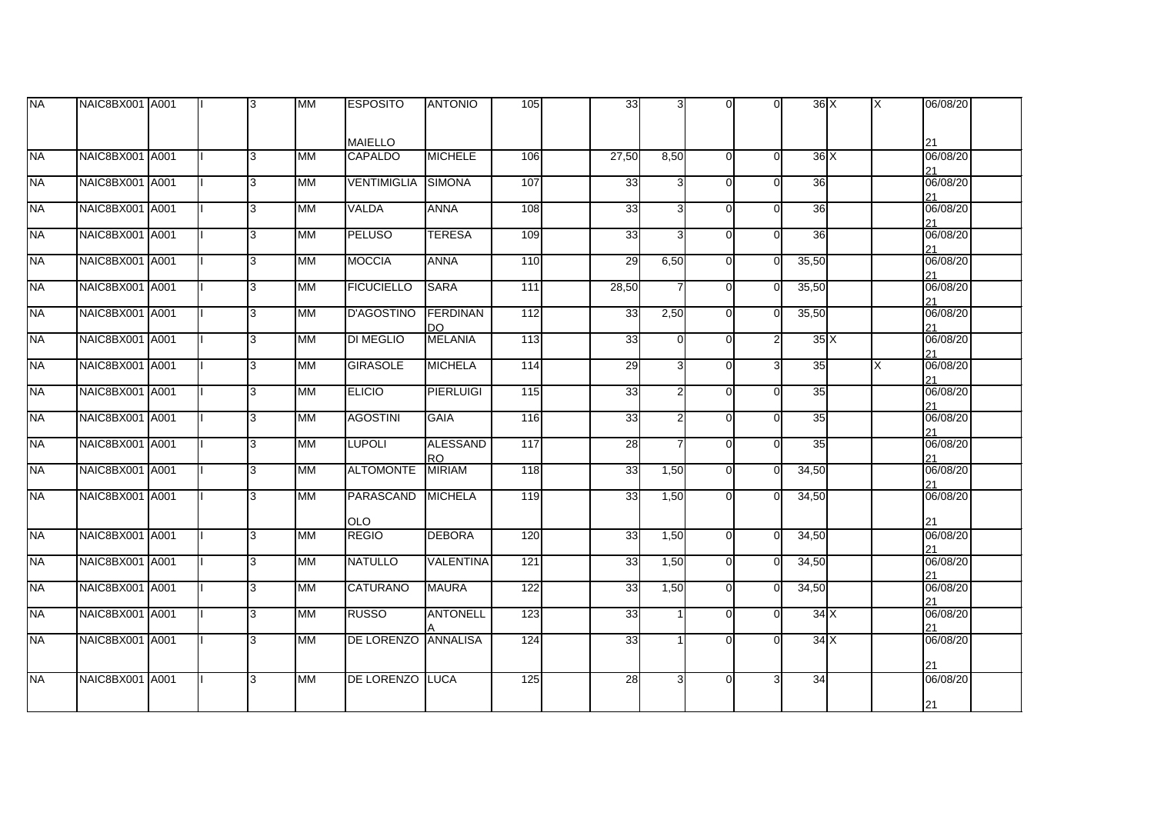| <b>NA</b>   | NAIC8BX001 A001 |  | l3 | <b>IMM</b> | <b>ESPOSITO</b>     | <b>ANTONIO</b>             | 105              | 33              | $\overline{3}$ | $\Omega$ | $\Omega$       | 36X   | ΙX | 06/08/20       |  |
|-------------|-----------------|--|----|------------|---------------------|----------------------------|------------------|-----------------|----------------|----------|----------------|-------|----|----------------|--|
|             |                 |  |    |            |                     |                            |                  |                 |                |          |                |       |    |                |  |
|             |                 |  |    |            | <b>MAIELLO</b>      |                            |                  |                 |                |          |                |       |    | 21             |  |
| <b>NA</b>   | NAIC8BX001 A001 |  | 3  | <b>MM</b>  | <b>CAPALDO</b>      | <b>MICHELE</b>             | 106              | 27,50           | 8,50           | $\Omega$ | $\Omega$       | 36X   |    | 06/08/20       |  |
| <b>NA</b>   | NAIC8BX001 A001 |  | 3  | <b>MM</b>  | <b>VENTIMIGLIA</b>  | SIMONA                     | 107              | 33              | 3I             | $\Omega$ | $\Omega$       | 36    |    | 21<br>06/08/20 |  |
|             |                 |  |    |            |                     |                            |                  |                 |                |          |                |       |    | 21             |  |
| <b>I</b> NA | NAIC8BX001 A001 |  | 3  | MM         | <b>VALDA</b>        | <b>ANNA</b>                | 108              | 33              | $\overline{3}$ | $\Omega$ | $\Omega$       | 36    |    | 06/08/20<br>21 |  |
| <b>NA</b>   | NAIC8BX001 A001 |  | 3  | <b>MM</b>  | <b>PELUSO</b>       | <b>TERESA</b>              | 109              | 33              | $\overline{3}$ | $\Omega$ | $\overline{0}$ | 36    |    | 06/08/20<br>21 |  |
| <b>NA</b>   | NAIC8BX001 A001 |  | l3 | MМ         | <b>MOCCIA</b>       | <b>ANNA</b>                | 110              | 29              | 6,50           | $\Omega$ | $\overline{0}$ | 35,50 |    | 06/08/20<br>21 |  |
| <b>NA</b>   | NAIC8BX001 A001 |  | 3  | MМ         | <b>FICUCIELLO</b>   | <b>SARA</b>                | 111              | 28,50           |                | $\Omega$ | $\Omega$       | 35,50 |    | 06/08/20       |  |
| <b>NA</b>   | NAIC8BX001 A001 |  | 3  | <b>MM</b>  | <b>D'AGOSTINO</b>   | FERDINAN                   | 112              | 33              | 2,50           | $\Omega$ | $\Omega$       | 35,50 |    | 21<br>06/08/20 |  |
|             |                 |  |    |            |                     | DO.                        |                  |                 |                |          |                |       |    | 21             |  |
| <b>NA</b>   | NAIC8BX001 A001 |  | 3  | MM         | <b>DI MEGLIO</b>    | <b>MELANIA</b>             | $\overline{113}$ | 33              | $\Omega$       | $\Omega$ | $\mathsf{2}$   | 35X   |    | 06/08/20<br>21 |  |
| <b>I</b> NA | NAIC8BX001 A001 |  | 3  | <b>MM</b>  | <b>GIRASOLE</b>     | <b>MICHELA</b>             | 114              | 29              | 3              | $\Omega$ | 3I             | 35    | X  | 06/08/20<br>21 |  |
| <b>NA</b>   | NAIC8BX001 A001 |  | 3  | <b>MM</b>  | <b>ELICIO</b>       | <b>PIERLUIGI</b>           | 115              | 33              | $\overline{2}$ | $\Omega$ | $\Omega$       | 35    |    | 06/08/20<br>21 |  |
| <b>INA</b>  | NAIC8BX001 A001 |  | 3  | MМ         | <b>AGOSTINI</b>     | <b>GAIA</b>                | 116              | 33              | $\overline{2}$ | $\Omega$ | $\Omega$       | 35    |    | 06/08/20       |  |
| <b>NA</b>   | NAIC8BX001 A001 |  | 3  | <b>MM</b>  | <b>LUPOLI</b>       | <b>ALESSAND</b>            | $\frac{117}{2}$  | $\overline{28}$ | $\overline{7}$ | $\Omega$ | $\Omega$       | 35    |    | 21<br>06/08/20 |  |
| <b>I</b> NA | NAIC8BX001 A001 |  | 3  | <b>MM</b>  | <b>ALTOMONTE</b>    | <b>RO</b><br><b>MIRIAM</b> | 118              | 33              | 1,50           | $\Omega$ | $\Omega$       | 34,50 |    | 21<br>06/08/20 |  |
|             |                 |  |    |            |                     |                            |                  |                 |                |          |                |       |    | 21             |  |
| <b>NA</b>   | NAIC8BX001 A001 |  | 3  | <b>MM</b>  | PARASCAND           | <b>MICHELA</b>             | 119              | 33              | 1,50           | $\Omega$ | $\Omega$       | 34,50 |    | 06/08/20       |  |
|             |                 |  |    |            | <b>OLO</b>          |                            |                  |                 |                |          |                |       |    | 21             |  |
| <b>INA</b>  | NAIC8BX001 A001 |  | 3  | <b>MM</b>  | <b>REGIO</b>        | <b>DEBORA</b>              | 120              | 33              | 1,50           | $\Omega$ | $\Omega$       | 34,50 |    | 06/08/20<br>21 |  |
| <b>I</b> NA | NAIC8BX001 A001 |  | 3  | <b>MM</b>  | <b>NATULLO</b>      | VALENTINA                  | $\overline{121}$ | 33              | 1,50           | $\Omega$ | $\Omega$       | 34,50 |    | 06/08/20       |  |
| <b>NA</b>   | NAIC8BX001 A001 |  | 3  | MM         | <b>CATURANO</b>     | <b>MAURA</b>               | 122              | 33              | 1,50           | $\Omega$ | $\Omega$       | 34,50 |    | 21<br>06/08/20 |  |
|             |                 |  |    |            |                     |                            |                  |                 |                |          |                |       |    | 21             |  |
| <b>NA</b>   | NAIC8BX001 A001 |  | 3  | MМ         | <b>RUSSO</b>        | <b>ANTONELL</b>            | 123              | 33              |                | $\Omega$ | $\Omega$       | 34X   |    | 06/08/20<br>21 |  |
| <b>NA</b>   | NAIC8BX001 A001 |  | 3  | MМ         | DE LORENZO ANNALISA |                            | 124              | 33              |                | $\Omega$ | $\Omega$       | 34 X  |    | 06/08/20       |  |
|             |                 |  |    |            |                     |                            |                  |                 |                |          |                |       |    | 21             |  |
| <b>NA</b>   | NAIC8BX001 A001 |  | 3  | <b>IMM</b> | DE LORENZO LUCA     |                            | 125              | 28              | 31             | $\Omega$ | $\overline{3}$ | 34    |    | 06/08/20       |  |
|             |                 |  |    |            |                     |                            |                  |                 |                |          |                |       |    | 21             |  |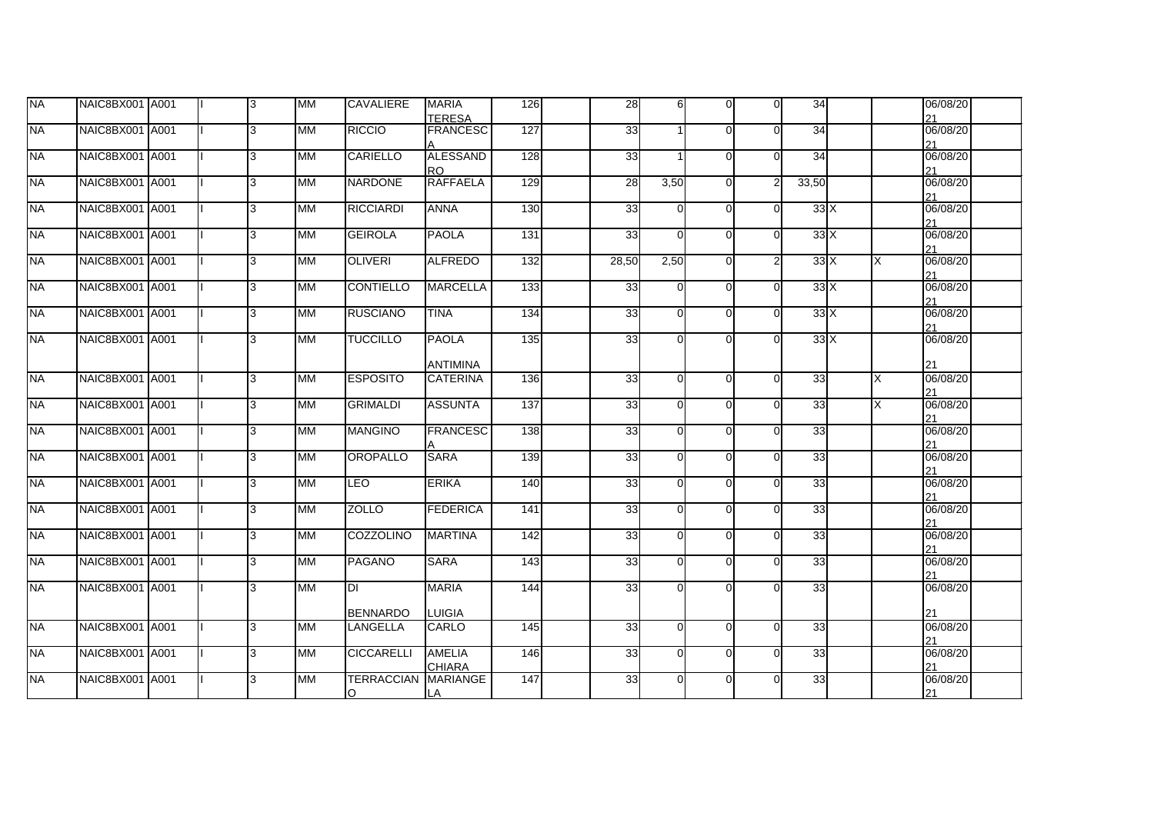| <b>NA</b> | NAIC8BX001 A001 |  | l3  | <b>MM</b>  | CAVALIERE                   | <b>MARIA</b><br><b>TERESA</b>   | 126 | 28              | 6        | $\Omega$ | $\overline{O}$ | 34    |    | 06/08/20<br>21 |  |
|-----------|-----------------|--|-----|------------|-----------------------------|---------------------------------|-----|-----------------|----------|----------|----------------|-------|----|----------------|--|
| <b>NA</b> | NAIC8BX001 A001 |  | l3. | <b>MM</b>  | <b>RICCIO</b>               | <b>FRANCESC</b>                 | 127 | 33              |          | $\Omega$ | $\Omega$       | 34    |    | 06/08/20<br>21 |  |
| <b>NA</b> | NAIC8BX001 A001 |  | 3   | <b>MM</b>  | CARIELLO                    | <b>ALESSAND</b><br><b>RO</b>    | 128 | 33              |          | $\Omega$ | $\Omega$       | 34    |    | 06/08/20<br>21 |  |
| <b>NA</b> | NAIC8BX001 A001 |  | l3  | <b>MM</b>  | <b>NARDONE</b>              | <b>RAFFAELA</b>                 | 129 | $\overline{28}$ | 3,50     | $\Omega$ | $\overline{2}$ | 33,50 |    | 06/08/20<br>21 |  |
| <b>NA</b> | NAIC8BX001 A001 |  | l3. | <b>IMM</b> | <b>RICCIARDI</b>            | <b>ANNA</b>                     | 130 | 33              | $\Omega$ | $\Omega$ | $\Omega$       | 33X   |    | 06/08/20<br>21 |  |
| <b>NA</b> | NAIC8BX001 A001 |  | l3. | MM         | <b>GEIROLA</b>              | <b>PAOLA</b>                    | 131 | $\overline{33}$ | $\Omega$ | $\Omega$ | $\Omega$       | 33X   |    | 06/08/20<br>21 |  |
| <b>NA</b> | NAIC8BX001 A001 |  | 3   | MM         | <b>OLIVERI</b>              | <b>ALFREDO</b>                  | 132 | 28,50           | 2,50     | $\Omega$ | $\overline{2}$ | 33X   | X  | 06/08/20<br>21 |  |
| <b>NA</b> | NAIC8BX001 A001 |  | l3  | <b>MM</b>  | <b>CONTIELLO</b>            | <b>MARCELLA</b>                 | 133 | 33              | $\Omega$ | $\Omega$ | $\Omega$       | 33X   |    | 06/08/20<br>21 |  |
| <b>NA</b> | NAIC8BX001 A001 |  | l3  | <b>MM</b>  | <b>RUSCIANO</b>             | <b>TINA</b>                     | 134 | 33              | $\Omega$ | $\Omega$ | $\Omega$       | 33X   |    | 06/08/20<br>21 |  |
| <b>NA</b> | NAIC8BX001 A001 |  | l3  | <b>MM</b>  | <b>TUCCILLO</b>             | <b>PAOLA</b><br><b>ANTIMINA</b> | 135 | 33              | $\Omega$ | $\Omega$ | $\Omega$       | 33X   |    | 06/08/20<br>21 |  |
| <b>NA</b> | NAIC8BX001 A001 |  | l3  | <b>IMM</b> | <b>ESPOSITO</b>             | <b>CATERINA</b>                 | 136 | $\overline{33}$ | $\Omega$ | $\Omega$ | $\Omega$       | 33    | X  | 06/08/20<br>21 |  |
| <b>NA</b> | NAIC8BX001 A001 |  | 3   | MM         | <b>GRIMALDI</b>             | <b>ASSUNTA</b>                  | 137 | 33              | $\Omega$ | $\Omega$ | $\Omega$       | 33    | X. | 06/08/20<br>21 |  |
| <b>NA</b> | NAIC8BX001 A001 |  | 3   | <b>MM</b>  | <b>MANGINO</b>              | <b>FRANCESC</b>                 | 138 | 33              | $\Omega$ | $\Omega$ | $\Omega$       | 33    |    | 06/08/20<br>21 |  |
| <b>NA</b> | NAIC8BX001 A001 |  | 3   | <b>IMM</b> | OROPALLO                    | <b>SARA</b>                     | 139 | 33              | $\Omega$ | $\Omega$ | $\Omega$       | 33    |    | 06/08/20<br>21 |  |
| <b>NA</b> | NAIC8BX001 A001 |  | 3   | <b>IMM</b> | <b>LEO</b>                  | <b>ERIKA</b>                    | 140 | 33              | $\Omega$ | $\Omega$ | $\Omega$       | 33    |    | 06/08/20<br>21 |  |
| <b>NA</b> | NAIC8BX001 A001 |  | 3   | MM         | <b>ZOLLO</b>                | <b>FEDERICA</b>                 | 141 | 33              | $\Omega$ | $\Omega$ | $\Omega$       | 33    |    | 06/08/20<br>21 |  |
| <b>NA</b> | NAIC8BX001 A001 |  | 3   | <b>MM</b>  | <b>COZZOLINO</b>            | <b>MARTINA</b>                  | 142 | 33              | $\Omega$ | $\Omega$ | $\Omega$       | 33    |    | 06/08/20<br>21 |  |
| <b>NA</b> | NAIC8BX001 A001 |  | 3   | MM         | <b>PAGANO</b>               | <b>SARA</b>                     | 143 | 33              | $\Omega$ | $\Omega$ | $\Omega$       | 33    |    | 06/08/20<br>21 |  |
| <b>NA</b> | NAIC8BX001 A001 |  | l3. | <b>IMM</b> | DI                          | <b>MARIA</b>                    | 144 | 33              | $\Omega$ | $\Omega$ | $\Omega$       | 33    |    | 06/08/20       |  |
| <b>NA</b> | NAIC8BX001 A001 |  | l3. | MM         | <b>BENNARDO</b><br>LANGELLA | <b>LUIGIA</b><br>CARLO          | 145 | 33              | $\Omega$ | $\Omega$ | $\Omega$       | 33    |    | 21<br>06/08/20 |  |
|           |                 |  |     |            |                             |                                 |     |                 |          |          |                |       |    | 21             |  |
| <b>NA</b> | NAIC8BX001 A001 |  | l3. | MM         | <b>CICCARELLI</b>           | <b>AMELIA</b><br><b>CHIARA</b>  | 146 | 33              | $\Omega$ | $\Omega$ | $\Omega$       | 33    |    | 06/08/20<br>21 |  |
| <b>NA</b> | NAIC8BX001 A001 |  | 3   | MM         | <b>TERRACCIAN</b><br>O      | <b>MARIANGE</b><br>LA           | 147 | 33              | $\Omega$ | $\Omega$ | $\Omega$       | 33    |    | 06/08/20<br>21 |  |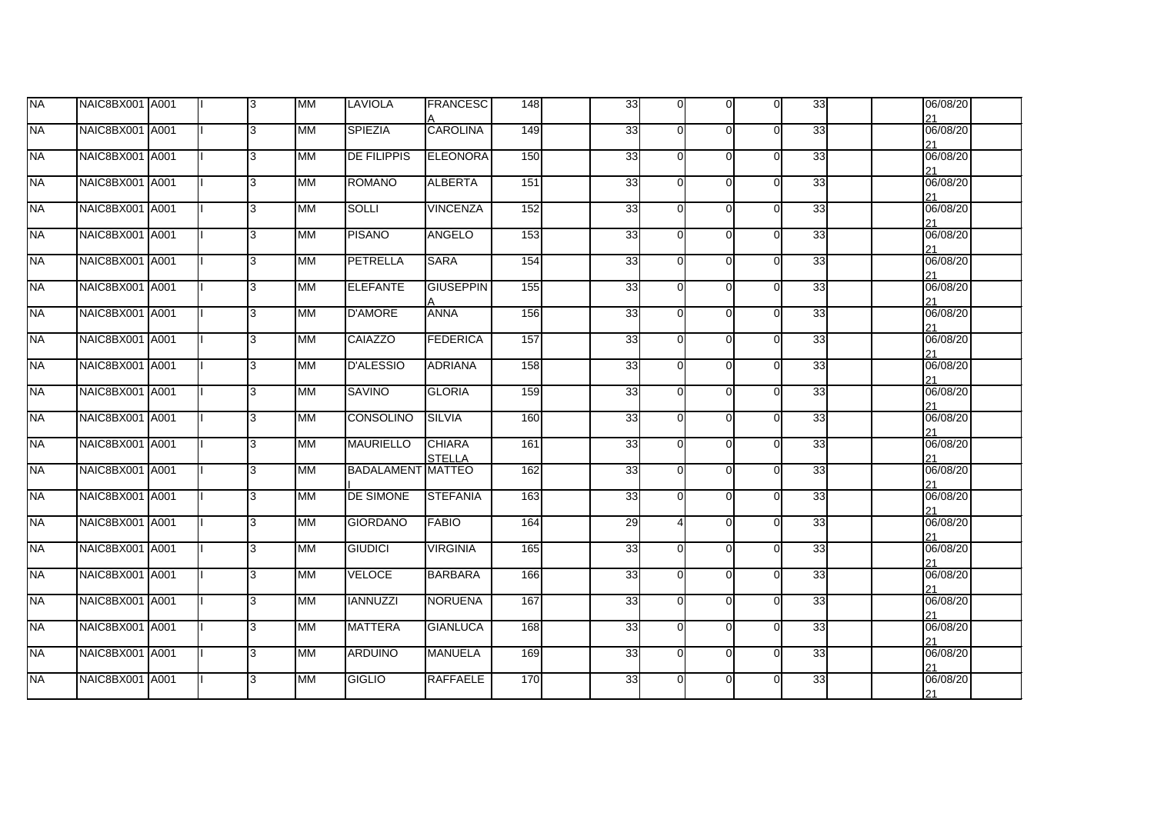|                 |                                                                                                                                                                                                                                                                                                                                                                                                             |    |           |                    | <b>FRANCESC</b> | 148                                                                                                                                                                                                                                                                                              | 33 | $\overline{0}$ | $\overline{0}$                                                                                                             | $\overline{0}$ | 33 | 06/08/20<br>21       |
|-----------------|-------------------------------------------------------------------------------------------------------------------------------------------------------------------------------------------------------------------------------------------------------------------------------------------------------------------------------------------------------------------------------------------------------------|----|-----------|--------------------|-----------------|--------------------------------------------------------------------------------------------------------------------------------------------------------------------------------------------------------------------------------------------------------------------------------------------------|----|----------------|----------------------------------------------------------------------------------------------------------------------------|----------------|----|----------------------|
| NAIC8BX001 A001 |                                                                                                                                                                                                                                                                                                                                                                                                             | 3  | MМ        | <b>SPIEZIA</b>     | <b>CAROLINA</b> | 149                                                                                                                                                                                                                                                                                              | 33 | $\Omega$       | $\Omega$                                                                                                                   | $\mathbf{0}$   | 33 | 06/08/20             |
|                 |                                                                                                                                                                                                                                                                                                                                                                                                             | Iз | MМ        | <b>DE FILIPPIS</b> |                 | 150                                                                                                                                                                                                                                                                                              |    | $\Omega$       | $\Omega$                                                                                                                   | $\overline{O}$ | 33 | 21<br>06/08/20       |
|                 |                                                                                                                                                                                                                                                                                                                                                                                                             | Iз | <b>MM</b> | <b>ROMANO</b>      | <b>ALBERTA</b>  | 151                                                                                                                                                                                                                                                                                              |    | $\Omega$       | $\Omega$                                                                                                                   | $\overline{O}$ | 33 | 21<br>06/08/20       |
|                 |                                                                                                                                                                                                                                                                                                                                                                                                             | Iз | MM        | <b>SOLLI</b>       | <b>VINCENZA</b> | 152                                                                                                                                                                                                                                                                                              |    | $\Omega$       | $\Omega$                                                                                                                   | $\overline{0}$ | 33 | 21<br>06/08/20       |
|                 |                                                                                                                                                                                                                                                                                                                                                                                                             | 3  | <b>MM</b> | <b>PISANO</b>      |                 | 153                                                                                                                                                                                                                                                                                              |    | $\Omega$       | $\Omega$                                                                                                                   | $\overline{0}$ | 33 | 21<br>06/08/20       |
|                 |                                                                                                                                                                                                                                                                                                                                                                                                             | 3  | MМ        | <b>PETRELLA</b>    |                 | 154                                                                                                                                                                                                                                                                                              |    | $\Omega$       | $\Omega$                                                                                                                   | $\overline{0}$ | 33 | 21<br>06/08/20       |
|                 |                                                                                                                                                                                                                                                                                                                                                                                                             | 3  | MM        | <b>ELEFANTE</b>    |                 | 155                                                                                                                                                                                                                                                                                              |    | $\Omega$       | $\Omega$                                                                                                                   | $\overline{0}$ | 33 | 21<br>06/08/20       |
|                 |                                                                                                                                                                                                                                                                                                                                                                                                             | 3  | <b>MM</b> | <b>D'AMORE</b>     |                 | 156                                                                                                                                                                                                                                                                                              |    | $\Omega$       | $\Omega$                                                                                                                   | $\overline{0}$ | 33 | 21<br>06/08/20       |
|                 |                                                                                                                                                                                                                                                                                                                                                                                                             | Iз | <b>MM</b> | CAIAZZO            |                 | 157                                                                                                                                                                                                                                                                                              |    | $\Omega$       | $\Omega$                                                                                                                   | $\overline{0}$ | 33 | 21<br>06/08/20       |
|                 |                                                                                                                                                                                                                                                                                                                                                                                                             | Iз | <b>MM</b> | <b>D'ALESSIO</b>   |                 | 158                                                                                                                                                                                                                                                                                              |    | $\Omega$       | $\Omega$                                                                                                                   | $\mathsf{O}$   | 33 | 21<br>06/08/20       |
|                 |                                                                                                                                                                                                                                                                                                                                                                                                             | 3  | <b>MM</b> | <b>SAVINO</b>      | <b>GLORIA</b>   | 159                                                                                                                                                                                                                                                                                              |    | $\Omega$       | $\Omega$                                                                                                                   | $\overline{O}$ | 33 | 21<br>06/08/20       |
|                 |                                                                                                                                                                                                                                                                                                                                                                                                             | 3  | <b>MM</b> | <b>CONSOLINO</b>   |                 | 160                                                                                                                                                                                                                                                                                              |    | $\Omega$       | $\Omega$                                                                                                                   | $\overline{0}$ | 33 | 21<br>06/08/20       |
|                 |                                                                                                                                                                                                                                                                                                                                                                                                             | 3  | MM        | <b>MAURIELLO</b>   |                 | 161                                                                                                                                                                                                                                                                                              |    | $\Omega$       | $\Omega$                                                                                                                   | $\overline{0}$ | 33 | 21<br>06/08/20       |
|                 |                                                                                                                                                                                                                                                                                                                                                                                                             | 3  | <b>MM</b> |                    |                 | 162                                                                                                                                                                                                                                                                                              |    | $\Omega$       | $\Omega$                                                                                                                   | $\overline{0}$ | 33 | 21<br>06/08/20       |
|                 |                                                                                                                                                                                                                                                                                                                                                                                                             | Iз | <b>MM</b> | DE SIMONE          |                 | 163                                                                                                                                                                                                                                                                                              |    | $\Omega$       | $\Omega$                                                                                                                   | $\overline{0}$ | 33 | 21<br>06/08/20<br>21 |
|                 |                                                                                                                                                                                                                                                                                                                                                                                                             | Iз | <b>MM</b> | <b>GIORDANO</b>    |                 | 164                                                                                                                                                                                                                                                                                              |    | Δ              | $\Omega$                                                                                                                   | $\overline{O}$ | 33 | 06/08/20             |
|                 |                                                                                                                                                                                                                                                                                                                                                                                                             | 3  | <b>MM</b> | <b>GIUDICI</b>     | <b>VIRGINIA</b> | 165                                                                                                                                                                                                                                                                                              |    | $\Omega$       | $\Omega$                                                                                                                   | $\overline{0}$ | 33 | 21<br>06/08/20       |
|                 |                                                                                                                                                                                                                                                                                                                                                                                                             | 3  | <b>MM</b> | <b>VELOCE</b>      |                 | 166                                                                                                                                                                                                                                                                                              |    | $\Omega$       | $\Omega$                                                                                                                   | $\overline{0}$ | 33 | 21<br>06/08/20       |
|                 |                                                                                                                                                                                                                                                                                                                                                                                                             | l3 | <b>MM</b> | <b>IANNUZZI</b>    | <b>NORUENA</b>  | 167                                                                                                                                                                                                                                                                                              |    | $\Omega$       | $\Omega$                                                                                                                   | $\mathbf{0}$   | 33 | 21<br>06/08/20<br>21 |
|                 |                                                                                                                                                                                                                                                                                                                                                                                                             | 3  | <b>MM</b> | <b>MATTERA</b>     | <b>GIANLUCA</b> | 168                                                                                                                                                                                                                                                                                              |    |                | $\Omega$                                                                                                                   | $\overline{0}$ | 33 | 06/08/20             |
|                 |                                                                                                                                                                                                                                                                                                                                                                                                             | 3  | MМ        | <b>ARDUINO</b>     |                 | 169                                                                                                                                                                                                                                                                                              |    | $\Omega$       | $\Omega$                                                                                                                   | $\overline{0}$ | 33 | 21<br>06/08/20       |
|                 |                                                                                                                                                                                                                                                                                                                                                                                                             | 3  | <b>MM</b> | <b>GIGLIO</b>      |                 | 170                                                                                                                                                                                                                                                                                              |    | $\Omega$       | $\Omega$                                                                                                                   | $\mathbf{0}$   | 33 | 21<br>06/08/20<br>21 |
|                 | NAIC8BX001 A001<br>NAIC8BX001 A001<br>NAIC8BX001 A001<br>NAIC8BX001 A001<br>NAIC8BX001 A001<br>NAIC8BX001 A001<br>NAIC8BX001 A001<br>NAIC8BX001 A001<br>NAIC8BX001 A001<br>NAIC8BX001 A001<br>NAIC8BX001 A001<br>NAIC8BX001 A001<br>NAIC8BX001 A001<br>NAIC8BX001 A001<br>NAIC8BX001 A001<br>NAIC8BX001 A001<br>NAIC8BX001 A001<br>NAIC8BX001 A001<br>NAIC8BX001 A001<br>NAIC8BX001 A001<br>NAIC8BX001 A001 |    |           |                    |                 | <b>ELEONORA</b><br><b>ANGELO</b><br><b>SARA</b><br><b>GIUSEPPIN</b><br><b>ANNA</b><br><b>FEDERICA</b><br><b>ADRIANA</b><br><b>SILVIA</b><br><b>CHIARA</b><br><b>STELLA</b><br><b>BADALAMENT MATTEO</b><br><b>STEFANIA</b><br><b>FABIO</b><br><b>BARBARA</b><br><b>MANUELA</b><br><b>RAFFAELE</b> |    |                | 33<br>33<br>33<br>33<br>33<br>33<br>33<br>33<br>33<br>33<br>33<br>33<br>33<br>33<br>29<br>33<br>33<br>33<br>33<br>33<br>33 | $\Omega$       |    |                      |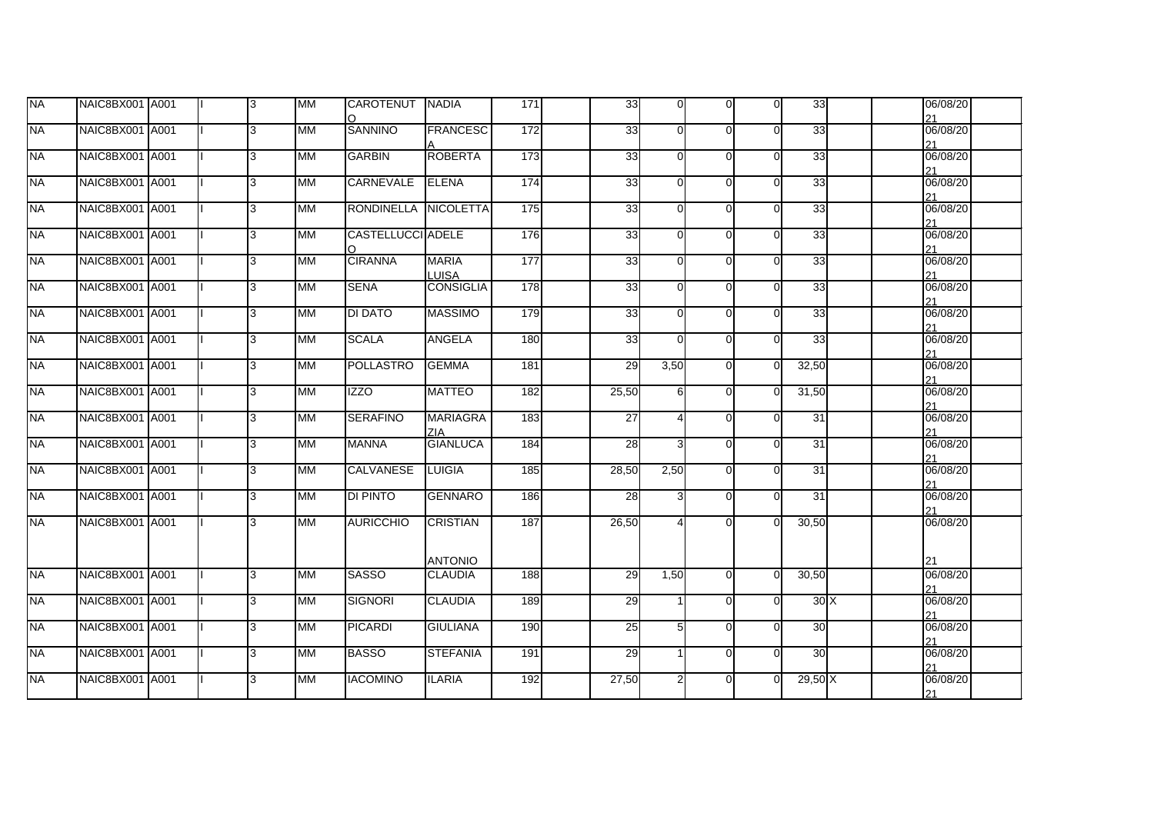| <b>I</b> NA | NAIC8BX001 A001 |  | 3  | <b>MM</b> | CAROTENUT NADIA<br>$\Omega$ |                                  | $171$            | 33    | $\mathbf{0}$   | $\overline{0}$ | $\overline{0}$ | 33     | 06/08/20<br>21       |
|-------------|-----------------|--|----|-----------|-----------------------------|----------------------------------|------------------|-------|----------------|----------------|----------------|--------|----------------------|
| <b>I</b> NA | NAIC8BX001 A001 |  | 3  | <b>MM</b> | <b>SANNINO</b>              | <b>FRANCESC</b>                  | $\overline{172}$ | 33    | $\Omega$       | $\Omega$       | $\overline{0}$ | 33     | 06/08/20<br>21       |
| <b>NA</b>   | NAIC8BX001 A001 |  | 3  | MМ        | <b>GARBIN</b>               | <b>ROBERTA</b>                   | 173              | 33    | $\Omega$       | $\Omega$       | $\overline{O}$ | 33     | 06/08/20             |
| <b>NA</b>   | NAIC8BX001 A001 |  | 3  | <b>MM</b> | CARNEVALE                   | <b>ELENA</b>                     | 174              | 33    | $\Omega$       | $\Omega$       | $\overline{O}$ | 33     | 21<br>06/08/20       |
| <b>INA</b>  | NAIC8BX001 A001 |  | 3  | <b>MM</b> | RONDINELLA NICOLETTA        |                                  | 175              | 33    | $\Omega$       | $\Omega$       | $\Omega$       | 33     | 21<br>06/08/20       |
| <b>NA</b>   | NAIC8BX001 A001 |  | 3  | <b>MM</b> | <b>CASTELLUCCI ADELE</b>    |                                  | 176              | 33    | $\Omega$       | $\Omega$       | $\overline{O}$ | 33     | 21<br>06/08/20       |
| <b>NA</b>   | NAIC8BX001 A001 |  | 3  | МM        | ∩<br><b>CIRANNA</b>         | <b>MARIA</b>                     | 177              | 33    | $\Omega$       | $\Omega$       | $\overline{0}$ | 33     | 21<br>06/08/20<br>21 |
| <b>NA</b>   | NAIC8BX001 A001 |  | 3  | <b>MM</b> | <b>SENA</b>                 | <b>LUISA</b><br><b>CONSIGLIA</b> | 178              | 33    | $\Omega$       | $\Omega$       | $\overline{0}$ | 33     | 06/08/20             |
| <b>NA</b>   | NAIC8BX001 A001 |  | 3  | <b>MM</b> | <b>DI DATO</b>              | <b>MASSIMO</b>                   | 179              | 33    | $\Omega$       | $\Omega$       | $\overline{0}$ | 33     | 21<br>06/08/20<br>21 |
| <b>NA</b>   | NAIC8BX001 A001 |  | Iз | MM        | <b>SCALA</b>                | <b>ANGELA</b>                    | 180              | 33    | $\Omega$       | $\Omega$       | $\overline{0}$ | 33     | 06/08/20<br>21       |
| <b>NA</b>   | NAIC8BX001 A001 |  | Iз | MМ        | <b>POLLASTRO</b>            | <b>GEMMA</b>                     | 181              | 29    | 3,50           | $\overline{0}$ | $\overline{0}$ | 32,50  | 06/08/20<br>21       |
| <b>NA</b>   | NAIC8BX001 A001 |  | Iз | <b>MM</b> | <b>IZZO</b>                 | <b>MATTEO</b>                    | 182              | 25,50 | 6              | $\Omega$       | $\overline{0}$ | 31,50  | 06/08/20<br>21       |
| <b>NA</b>   | NAIC8BX001 A001 |  | 3  | MM        | <b>SERAFINO</b>             | <b>MARIAGRA</b><br>7IA.          | 183              | 27    |                | $\Omega$       | $\overline{0}$ | 31     | 06/08/20<br>21       |
| <b>NA</b>   | NAIC8BX001 A001 |  | 3  | <b>MM</b> | <b>MANNA</b>                | <b>GIANLUCA</b>                  | 184              | 28    | $\mathbf{3}$   | $\Omega$       | $\overline{0}$ | 31     | 06/08/20<br>21       |
| <b>NA</b>   | NAIC8BX001 A001 |  | Iз | <b>MM</b> | <b>CALVANESE</b>            | <b>LUIGIA</b>                    | 185              | 28,50 | 2,50           | $\Omega$       | $\overline{0}$ | 31     | 06/08/20<br>21       |
| NΑ          | NAIC8BX001 A001 |  | 3  | MM        | <b>DI PINTO</b>             | <b>GENNARO</b>                   | 186              | 28    |                | $\Omega$       | $\overline{0}$ | 31     | 06/08/20<br>21       |
| <b>NA</b>   | NAIC8BX001 A001 |  | 3  | <b>MM</b> | <b>AURICCHIO</b>            | <b>CRISTIAN</b>                  | 187              | 26,50 | Δ              | $\Omega$       | $\overline{0}$ | 30,50  | 06/08/20             |
|             |                 |  |    |           |                             | <b>ANTONIO</b>                   |                  |       |                |                |                |        | 21                   |
| <b>NA</b>   | NAIC8BX001 A001 |  | Iз | <b>MM</b> | <b>SASSO</b>                | <b>CLAUDIA</b>                   | 188              | 29    | 1,50           | $\Omega$       | $\overline{0}$ | 30,50  | 06/08/20<br>21       |
| <b>NA</b>   | NAIC8BX001 A001 |  | Iз | МM        | <b>SIGNORI</b>              | <b>CLAUDIA</b>                   | 189              | 29    |                | $\Omega$       | $\mathsf{O}$   | 30X    | 06/08/20<br>21       |
| <b>I</b> NA | NAIC8BX001 A001 |  | 3  | <b>MM</b> | <b>PICARDI</b>              | <b>GIULIANA</b>                  | 190              | 25    | $5 \mid$       | $\Omega$       | $\overline{0}$ | 30     | 06/08/20<br>21       |
| <b>NA</b>   | NAIC8BX001 A001 |  | 3  | MМ        | <b>BASSO</b>                | <b>STEFANIA</b>                  | 191              | 29    |                | $\Omega$       | $\mathbf{0}$   | 30     | 06/08/20<br>21       |
| <b>NA</b>   | NAIC8BX001 A001 |  | 3  | <b>MM</b> | <b>IACOMINO</b>             | <b>ILARIA</b>                    | 192              | 27,50 | $\overline{2}$ | $\Omega$       | $\overline{0}$ | 29,50X | 06/08/20<br>21       |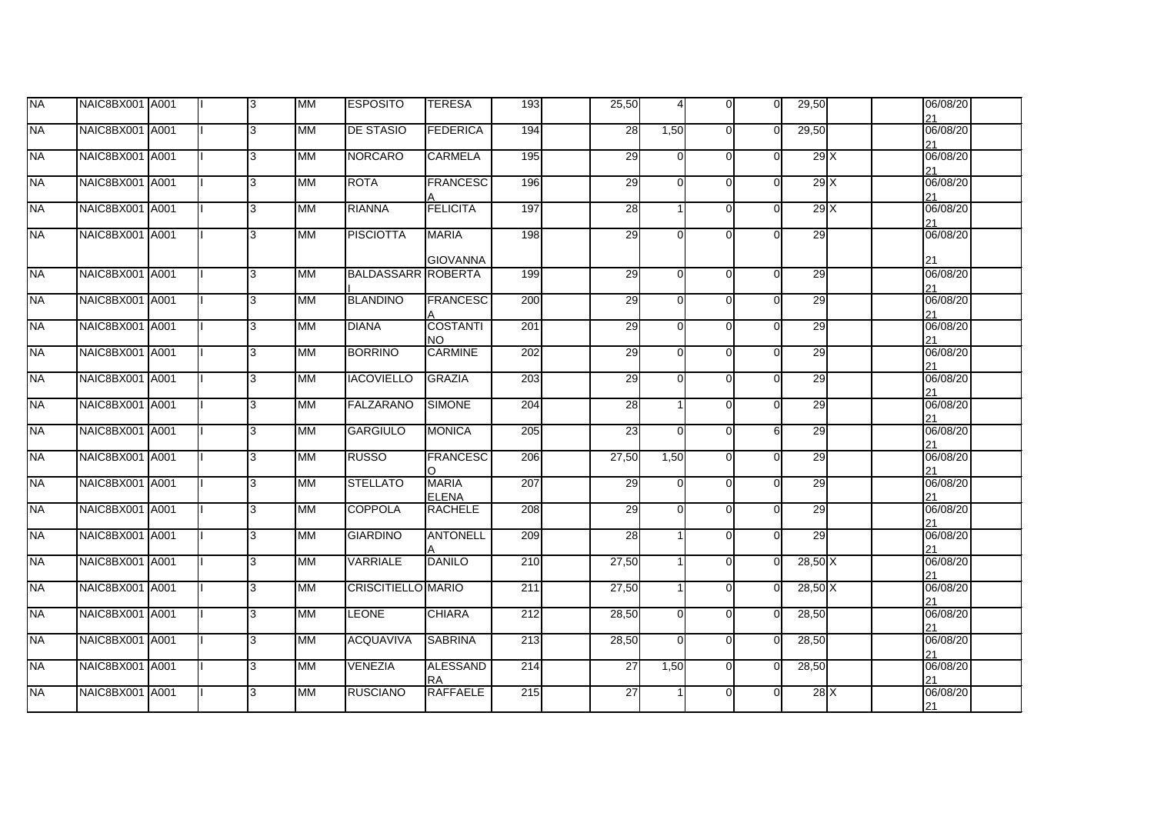| <b>NA</b> | NAIC8BX001 A001 |  | 13  | <b>MM</b> | <b>ESPOSITO</b>           | <b>TERESA</b>                   | 193 | 25,50           | $\overline{4}$ | $\Omega$ | $\overline{0}$ | 29,50   |  | 06/08/20<br>21 |  |
|-----------|-----------------|--|-----|-----------|---------------------------|---------------------------------|-----|-----------------|----------------|----------|----------------|---------|--|----------------|--|
| <b>NA</b> | NAIC8BX001 A001 |  | l3  | MM        | <b>DE STASIO</b>          | <b>FEDERICA</b>                 | 194 | 28              | 1,50           | $\Omega$ | $\Omega$       | 29,50   |  | 06/08/20<br>21 |  |
| <b>NA</b> | NAIC8BX001 A001 |  | 3   | MМ        | <b>NORCARO</b>            | <b>CARMELA</b>                  | 195 | 29              | $\Omega$       | $\Omega$ | $\Omega$       | 29 X    |  | 06/08/20<br>21 |  |
| <b>NA</b> | NAIC8BX001 A001 |  | l3. | <b>MM</b> | <b>ROTA</b>               | <b>FRANCESC</b>                 | 196 | 29              | $\Omega$       | $\Omega$ | $\Omega$       | 29X     |  | 06/08/20<br>21 |  |
| <b>NA</b> | NAIC8BX001 A001 |  | l3  | <b>MM</b> | <b>RIANNA</b>             | <b>FELICITA</b>                 | 197 | $\overline{28}$ |                | $\Omega$ | $\Omega$       | 29X     |  | 06/08/20<br>21 |  |
| <b>NA</b> | NAIC8BX001 A001 |  | 3   | <b>MM</b> | <b>PISCIOTTA</b>          | <b>MARIA</b><br><b>GIOVANNA</b> | 198 | 29              | U              | ∩        | $\Omega$       | 29      |  | 06/08/20<br>21 |  |
| <b>NA</b> | NAIC8BX001 A001 |  | l3  | MM        | <b>BALDASSARR ROBERTA</b> |                                 | 199 | 29              | $\overline{0}$ | $\Omega$ | $\Omega$       | 29      |  | 06/08/20<br>21 |  |
| <b>NA</b> | NAIC8BX001 A001 |  | 3   | <b>MM</b> | <b>BLANDINO</b>           | <b>FRANCESC</b>                 | 200 | 29              | O              | $\Omega$ | $\Omega$       | 29      |  | 06/08/20<br>21 |  |
| <b>NA</b> | NAIC8BX001 A001 |  | l3  | MM        | <b>DIANA</b>              | <b>COSTANTI</b><br>NO.          | 201 | 29              | $\Omega$       | $\Omega$ | $\Omega$       | 29      |  | 06/08/20<br>21 |  |
| <b>NA</b> | NAIC8BX001 A001 |  | l3. | MM        | <b>BORRINO</b>            | <b>CARMINE</b>                  | 202 | 29              | $\Omega$       | $\Omega$ | $\Omega$       | 29      |  | 06/08/20<br>21 |  |
| <b>NA</b> | NAIC8BX001 A001 |  | 3   | <b>MM</b> | <b>IACOVIELLO</b>         | <b>GRAZIA</b>                   | 203 | 29              | $\Omega$       | ∩        | $\Omega$       | 29      |  | 06/08/20<br>21 |  |
| <b>NA</b> | NAIC8BX001 A001 |  | 3   | MM        | <b>FALZARANO</b>          | <b>SIMONE</b>                   | 204 | 28              |                | $\Omega$ | $\Omega$       | 29      |  | 06/08/20<br>21 |  |
| <b>NA</b> | NAIC8BX001 A001 |  | l3  | <b>MM</b> | <b>GARGIULO</b>           | <b>MONICA</b>                   | 205 | $\overline{23}$ | $\Omega$       | $\Omega$ | 6              | 29      |  | 06/08/20<br>21 |  |
| <b>NA</b> | NAIC8BX001 A001 |  | 3   | MM        | <b>RUSSO</b>              | <b>FRANCESC</b>                 | 206 | 27,50           | 1,50           | $\Omega$ | $\Omega$       | 29      |  | 06/08/20<br>21 |  |
| <b>NA</b> | NAIC8BX001 A001 |  | 3   | MM        | <b>STELLATO</b>           | <b>MARIA</b><br><b>ELENA</b>    | 207 | 29              | O              | $\Omega$ | $\Omega$       | 29      |  | 06/08/20<br>21 |  |
| <b>NA</b> | NAIC8BX001 A001 |  | l3. | MM        | COPPOLA                   | <b>RACHELE</b>                  | 208 | 29              | $\Omega$       | $\Omega$ | $\Omega$       | 29      |  | 06/08/20<br>21 |  |
| <b>NA</b> | NAIC8BX001 A001 |  | 3   | <b>MM</b> | <b>GIARDINO</b>           | <b>ANTONELL</b>                 | 209 | 28              |                | $\Omega$ | $\Omega$       | 29      |  | 06/08/20<br>21 |  |
| <b>NA</b> | NAIC8BX001 A001 |  | 3   | MM        | <b>VARRIALE</b>           | <b>DANILO</b>                   | 210 | 27,50           |                | $\Omega$ | $\Omega$       | 28,50 X |  | 06/08/20<br>21 |  |
| <b>NA</b> | NAIC8BX001 A001 |  | l3  | <b>MM</b> | CRISCITIELLO MARIO        |                                 | 211 | 27,50           |                | $\Omega$ | $\Omega$       | 28,50 X |  | 06/08/20<br>21 |  |
| <b>NA</b> | NAIC8BX001 A001 |  | l3. | MM        | <b>LEONE</b>              | <b>CHIARA</b>                   | 212 | 28,50           | $\Omega$       | $\Omega$ | $\Omega$       | 28,50   |  | 06/08/20<br>21 |  |
| <b>NA</b> | NAIC8BX001 A001 |  | l3. | MM        | <b>ACQUAVIVA</b>          | <b>SABRINA</b>                  | 213 | 28,50           | $\Omega$       | $\Omega$ | $\Omega$       | 28,50   |  | 06/08/20<br>21 |  |
| <b>NA</b> | NAIC8BX001 A001 |  | 3   | МM        | <b>VENEZIA</b>            | <b>ALESSAND</b><br><b>RA</b>    | 214 | 27              | 1,50           | $\Omega$ | $\Omega$       | 28,50   |  | 06/08/20<br>21 |  |
| <b>NA</b> | NAIC8BX001 A001 |  | 3   | <b>MM</b> | <b>RUSCIANO</b>           | <b>RAFFAELE</b>                 | 215 | 27              |                | $\Omega$ | $\Omega$       | 28 X    |  | 06/08/20<br>21 |  |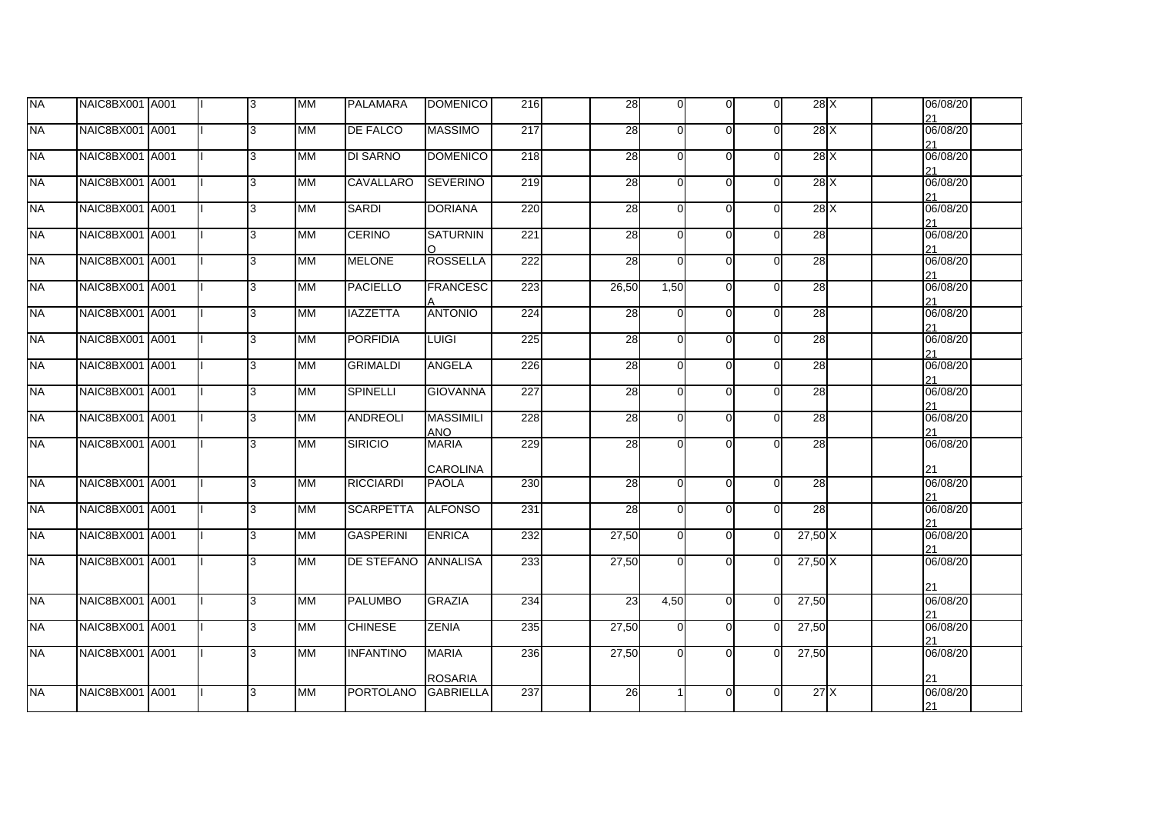| <b>NA</b>   | NAIC8BX001 A001 |  | 3 | МM        | <b>PALAMARA</b>     | <b>DOMENICO</b>         | 216 | 28              | $\Omega$ | $\Omega$ | $\Omega$ | 28X             |  | 06/08/20<br>21 |  |
|-------------|-----------------|--|---|-----------|---------------------|-------------------------|-----|-----------------|----------|----------|----------|-----------------|--|----------------|--|
| <b>NA</b>   | NAIC8BX001 A001 |  | 3 | <b>MM</b> | <b>DE FALCO</b>     | <b>MASSIMO</b>          | 217 | 28              | $\Omega$ | $\Omega$ | $\Omega$ | 28X             |  | 06/08/20<br>21 |  |
| <b>INA</b>  | NAIC8BX001 A001 |  | 3 | <b>MM</b> | <b>DI SARNO</b>     | <b>DOMENICO</b>         | 218 | 28              | $\Omega$ | $\Omega$ | $\Omega$ | 28X             |  | 06/08/20<br>21 |  |
| <b>NA</b>   | NAIC8BX001 A001 |  | 3 | MM        | <b>CAVALLARO</b>    | <b>SEVERINO</b>         | 219 | 28              | $\Omega$ | $\Omega$ | $\Omega$ | 28X             |  | 06/08/20<br>21 |  |
| <b>I</b> NA | NAIC8BX001 A001 |  | 3 | МM        | <b>SARDI</b>        | <b>DORIANA</b>          | 220 | 28              | $\Omega$ | $\Omega$ | $\Omega$ | 28X             |  | 06/08/20<br>21 |  |
| <b>NA</b>   | NAIC8BX001 A001 |  | 3 | <b>MM</b> | <b>CERINO</b>       | <b>SATURNIN</b>         | 221 | $\overline{28}$ | $\Omega$ | $\Omega$ | $\Omega$ | $\overline{28}$ |  | 06/08/20<br>21 |  |
| <b>NA</b>   | NAIC8BX001 A001 |  | 3 | <b>MM</b> | <b>MELONE</b>       | <b>ROSSELLA</b>         | 222 | 28              | $\Omega$ | $\Omega$ | $\Omega$ | $\overline{28}$ |  | 06/08/20<br>21 |  |
| <b>NA</b>   | NAIC8BX001 A001 |  | 3 | <b>MM</b> | <b>PACIELLO</b>     | <b>FRANCESC</b>         | 223 | 26,50           | 1,50     | $\Omega$ | $\Omega$ | $\overline{28}$ |  | 06/08/20<br>21 |  |
| <b>NA</b>   | NAIC8BX001 A001 |  | 3 | <b>MM</b> | <b>IAZZETTA</b>     | <b>ANTONIO</b>          | 224 | 28              | $\Omega$ | $\Omega$ | $\Omega$ | 28              |  | 06/08/20<br>21 |  |
| <b>NA</b>   | NAIC8BX001 A001 |  | 3 | <b>MM</b> | <b>PORFIDIA</b>     | <b>LUIGI</b>            | 225 | $\overline{28}$ | $\Omega$ | $\Omega$ | $\Omega$ | $\overline{28}$ |  | 06/08/20<br>21 |  |
| <b>NA</b>   | NAIC8BX001 A001 |  | 3 | <b>MM</b> | <b>GRIMALDI</b>     | <b>ANGELA</b>           | 226 | 28              | $\Omega$ | $\Omega$ | $\Omega$ | 28              |  | 06/08/20<br>21 |  |
| <b>NA</b>   | NAIC8BX001 A001 |  | 3 | <b>MM</b> | <b>SPINELLI</b>     | <b>GIOVANNA</b>         | 227 | $\overline{28}$ | $\Omega$ | $\Omega$ | $\Omega$ | 28              |  | 06/08/20<br>21 |  |
| <b>NA</b>   | NAIC8BX001 A001 |  | 3 | <b>MM</b> | <b>ANDREOLI</b>     | <b>MASSIMILI</b><br>ANO | 228 | $\overline{28}$ | $\Omega$ | $\Omega$ | $\Omega$ | 28              |  | 06/08/20<br>21 |  |
| <b>NA</b>   | NAIC8BX001 A001 |  | 3 | MМ        | <b>SIRICIO</b>      | <b>MARIA</b>            | 229 | 28              | $\Omega$ | ∩        | ∩        | $\overline{28}$ |  | 06/08/20       |  |
|             |                 |  |   |           |                     | <b>CAROLINA</b>         |     |                 |          |          |          |                 |  | 21             |  |
| <b>NA</b>   | NAIC8BX001 A001 |  | 3 | <b>MM</b> | <b>RICCIARDI</b>    | <b>PAOLA</b>            | 230 | 28              | $\Omega$ | $\Omega$ | $\Omega$ | 28              |  | 06/08/20<br>21 |  |
| <b>NA</b>   | NAIC8BX001 A001 |  | 3 | MМ        | <b>SCARPETTA</b>    | <b>ALFONSO</b>          | 231 | 28              | $\Omega$ | $\Omega$ | $\Omega$ | 28              |  | 06/08/20<br>21 |  |
| <b>NA</b>   | NAIC8BX001 A001 |  | 3 | <b>MM</b> | <b>GASPERINI</b>    | <b>ENRICA</b>           | 232 | 27,50           | $\Omega$ | $\Omega$ | $\Omega$ | $27,50$ X       |  | 06/08/20<br>21 |  |
| <b>NA</b>   | NAIC8BX001 A001 |  | 3 | <b>MM</b> | DE STEFANO ANNALISA |                         | 233 | 27,50           | $\Omega$ | $\Omega$ | $\Omega$ | $27,50$ X       |  | 06/08/20<br>21 |  |
| <b>NA</b>   | NAIC8BX001 A001 |  | 3 | MM        | <b>PALUMBO</b>      | <b>GRAZIA</b>           | 234 | $\overline{23}$ | 4,50     | $\Omega$ | $\Omega$ | 27,50           |  | 06/08/20<br>21 |  |
| <b>NA</b>   | NAIC8BX001 A001 |  | 3 | MМ        | <b>CHINESE</b>      | ZENIA                   | 235 | 27,50           | $\Omega$ | $\Omega$ | $\Omega$ | 27,50           |  | 06/08/20<br>21 |  |
| <b>NA</b>   | NAIC8BX001 A001 |  | 3 | MM        | <b>INFANTINO</b>    | <b>MARIA</b>            | 236 | 27,50           | $\Omega$ | $\Omega$ | $\Omega$ | 27,50           |  | 06/08/20       |  |
|             |                 |  |   |           |                     | <b>ROSARIA</b>          |     |                 |          |          |          |                 |  | 21             |  |
| <b>NA</b>   | NAIC8BX001 A001 |  | 3 | <b>MM</b> | <b>PORTOLANO</b>    | <b>GABRIELLA</b>        | 237 | 26              |          | $\Omega$ | $\Omega$ | 27X             |  | 06/08/20<br>21 |  |